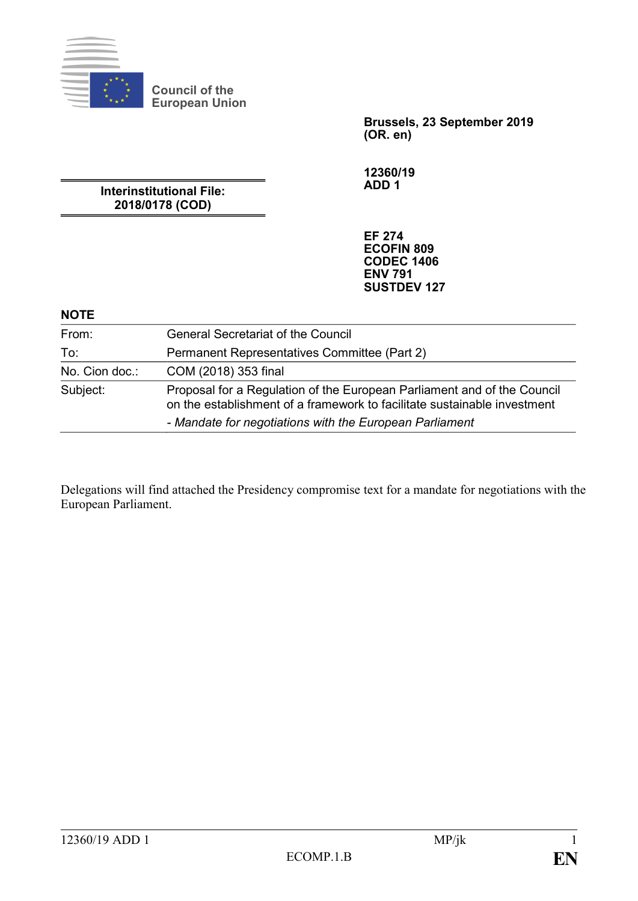

**Brussels, 23 September 2019 (OR. en)**

**12360/19 ADD 1**

**Interinstitutional File: 2018/0178 (COD)**

**Council of the European Union**

> **EF 274 ECOFIN 809 CODEC 1406 ENV 791 SUSTDEV 127**

#### **NOTE**

| From:          | <b>General Secretariat of the Council</b>                                                                                                           |
|----------------|-----------------------------------------------------------------------------------------------------------------------------------------------------|
| To:            | Permanent Representatives Committee (Part 2)                                                                                                        |
| No. Cion doc.: | COM (2018) 353 final                                                                                                                                |
| Subject:       | Proposal for a Regulation of the European Parliament and of the Council<br>on the establishment of a framework to facilitate sustainable investment |
|                | - Mandate for negotiations with the European Parliament                                                                                             |

Delegations will find attached the Presidency compromise text for a mandate for negotiations with the European Parliament.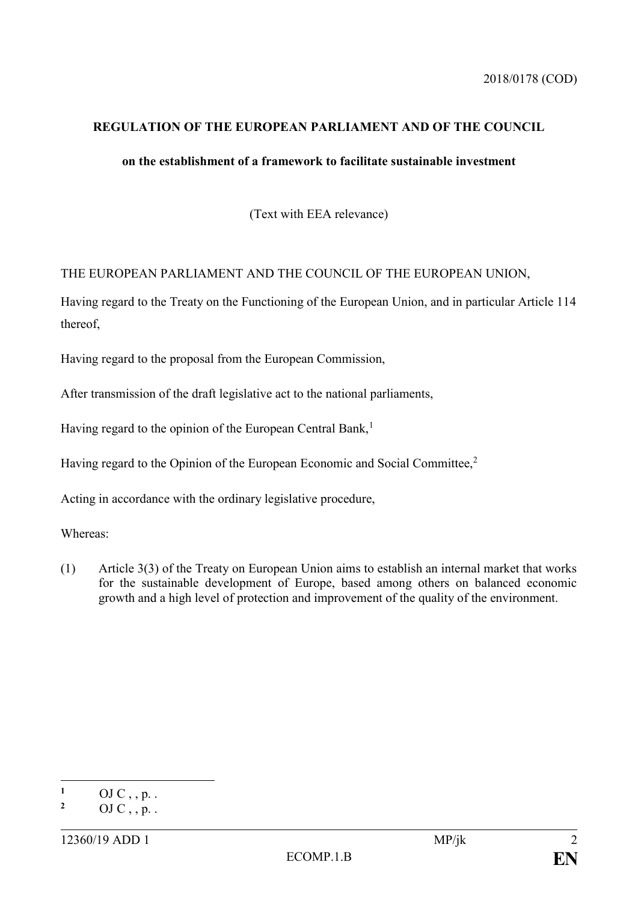#### **REGULATION OF THE EUROPEAN PARLIAMENT AND OF THE COUNCIL**

### **on the establishment of a framework to facilitate sustainable investment**

(Text with EEA relevance)

#### THE EUROPEAN PARLIAMENT AND THE COUNCIL OF THE EUROPEAN UNION,

Having regard to the Treaty on the Functioning of the European Union, and in particular Article 114 thereof,

Having regard to the proposal from the European Commission,

After transmission of the draft legislative act to the national parliaments,

Having regard to the opinion of the European Central Bank,<sup>1</sup>

Having regard to the Opinion of the European Economic and Social Committee,<sup>2</sup>

Acting in accordance with the ordinary legislative procedure,

Whereas:

(1) Article 3(3) of the Treaty on European Union aims to establish an internal market that works for the sustainable development of Europe, based among others on balanced economic growth and a high level of protection and improvement of the quality of the environment.

 $\mathbf{1}$  $\frac{1}{2}$  OJ C, , p. .

**<sup>2</sup>** OJ C , , p. .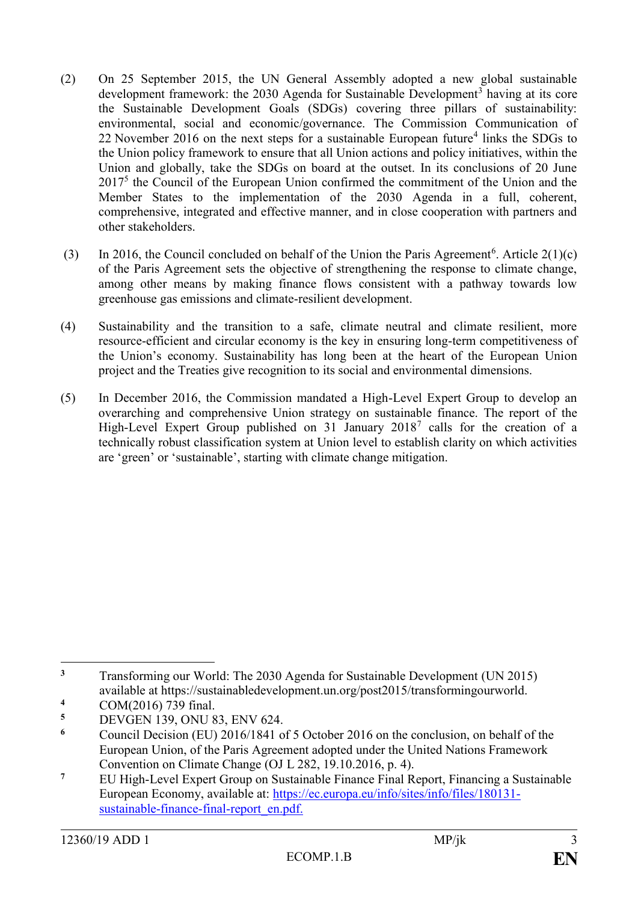- (2) On 25 September 2015, the UN General Assembly adopted a new global sustainable development framework: the  $2030$  Agenda for Sustainable Development<sup>3</sup> having at its core the Sustainable Development Goals (SDGs) covering three pillars of sustainability: environmental, social and economic/governance. The Commission Communication of 22 November 2016 on the next steps for a sustainable European future<sup>4</sup> links the SDGs to the Union policy framework to ensure that all Union actions and policy initiatives, within the Union and globally, take the SDGs on board at the outset. In its conclusions of 20 June 2017<sup>5</sup> the Council of the European Union confirmed the commitment of the Union and the Member States to the implementation of the 2030 Agenda in a full, coherent, comprehensive, integrated and effective manner, and in close cooperation with partners and other stakeholders.
- (3) In 2016, the Council concluded on behalf of the Union the Paris Agreement<sup>6</sup>. Article  $2(1)(c)$ of the Paris Agreement sets the objective of strengthening the response to climate change, among other means by making finance flows consistent with a pathway towards low greenhouse gas emissions and climate-resilient development.
- (4) Sustainability and the transition to a safe, climate neutral and climate resilient, more resource-efficient and circular economy is the key in ensuring long-term competitiveness of the Union's economy. Sustainability has long been at the heart of the European Union project and the Treaties give recognition to its social and environmental dimensions.
- (5) In December 2016, the Commission mandated a High-Level Expert Group to develop an overarching and comprehensive Union strategy on sustainable finance. The report of the High-Level Expert Group published on 31 January 2018<sup>7</sup> calls for the creation of a technically robust classification system at Union level to establish clarity on which activities are 'green' or 'sustainable', starting with climate change mitigation.

 $\overline{a}$ <sup>3</sup> Transforming our World: The 2030 Agenda for Sustainable Development (UN 2015) available at https://sustainabledevelopment.un.org/post2015/transformingourworld.

<sup>&</sup>lt;sup>4</sup> COM(2016) 739 final.<br>5 DEVGEN 130 ONLI 8

<sup>&</sup>lt;sup>5</sup> DEVGEN 139, ONU 83, ENV 624.

**<sup>6</sup>** Council Decision (EU) 2016/1841 of 5 October 2016 on the conclusion, on behalf of the European Union, of the Paris Agreement adopted under the United Nations Framework Convention on Climate Change (OJ L 282, 19.10.2016, p. 4).

<sup>&</sup>lt;sup>7</sup> EU High-Level Expert Group on Sustainable Finance Final Report, Financing a Sustainable European Economy, available at: [https://ec.europa.eu/info/sites/info/files/180131](https://ec.europa.eu/info/sites/info/files/180131-sustainable-finance-final-report_en.pdf) [sustainable-finance-final-report\\_en.pdf.](https://ec.europa.eu/info/sites/info/files/180131-sustainable-finance-final-report_en.pdf)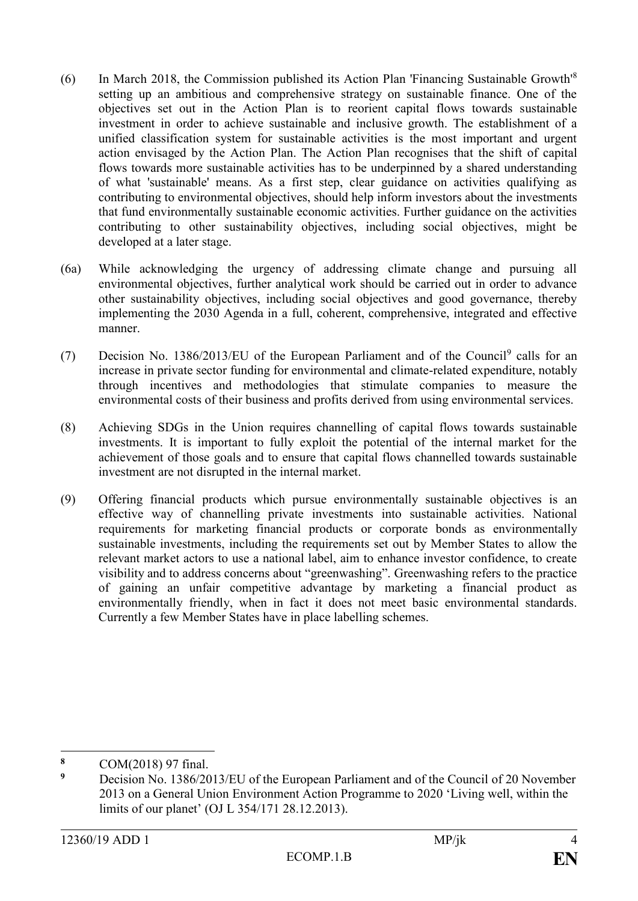- (6) In March 2018, the Commission published its Action Plan 'Financing Sustainable Growth'<sup>8</sup> setting up an ambitious and comprehensive strategy on sustainable finance. One of the objectives set out in the Action Plan is to reorient capital flows towards sustainable investment in order to achieve sustainable and inclusive growth. The establishment of a unified classification system for sustainable activities is the most important and urgent action envisaged by the Action Plan. The Action Plan recognises that the shift of capital flows towards more sustainable activities has to be underpinned by a shared understanding of what 'sustainable' means. As a first step, clear guidance on activities qualifying as contributing to environmental objectives, should help inform investors about the investments that fund environmentally sustainable economic activities. Further guidance on the activities contributing to other sustainability objectives, including social objectives, might be developed at a later stage.
- (6a) While acknowledging the urgency of addressing climate change and pursuing all environmental objectives, further analytical work should be carried out in order to advance other sustainability objectives, including social objectives and good governance, thereby implementing the 2030 Agenda in a full, coherent, comprehensive, integrated and effective manner.
- (7) Decision No. 1386/2013/EU of the European Parliament and of the Council<sup>9</sup> calls for an increase in private sector funding for environmental and climate-related expenditure, notably through incentives and methodologies that stimulate companies to measure the environmental costs of their business and profits derived from using environmental services.
- (8) Achieving SDGs in the Union requires channelling of capital flows towards sustainable investments. It is important to fully exploit the potential of the internal market for the achievement of those goals and to ensure that capital flows channelled towards sustainable investment are not disrupted in the internal market.
- (9) Offering financial products which pursue environmentally sustainable objectives is an effective way of channelling private investments into sustainable activities. National requirements for marketing financial products or corporate bonds as environmentally sustainable investments, including the requirements set out by Member States to allow the relevant market actors to use a national label, aim to enhance investor confidence, to create visibility and to address concerns about "greenwashing". Greenwashing refers to the practice of gaining an unfair competitive advantage by marketing a financial product as environmentally friendly, when in fact it does not meet basic environmental standards. Currently a few Member States have in place labelling schemes.

 $\overline{a}$ 

<sup>8</sup> **COM(2018)** 97 final.

**<sup>9</sup>** Decision No. 1386/2013/EU of the European Parliament and of the Council of 20 November 2013 on a General Union Environment Action Programme to 2020 'Living well, within the limits of our planet' (OJ L 354/171 28.12.2013).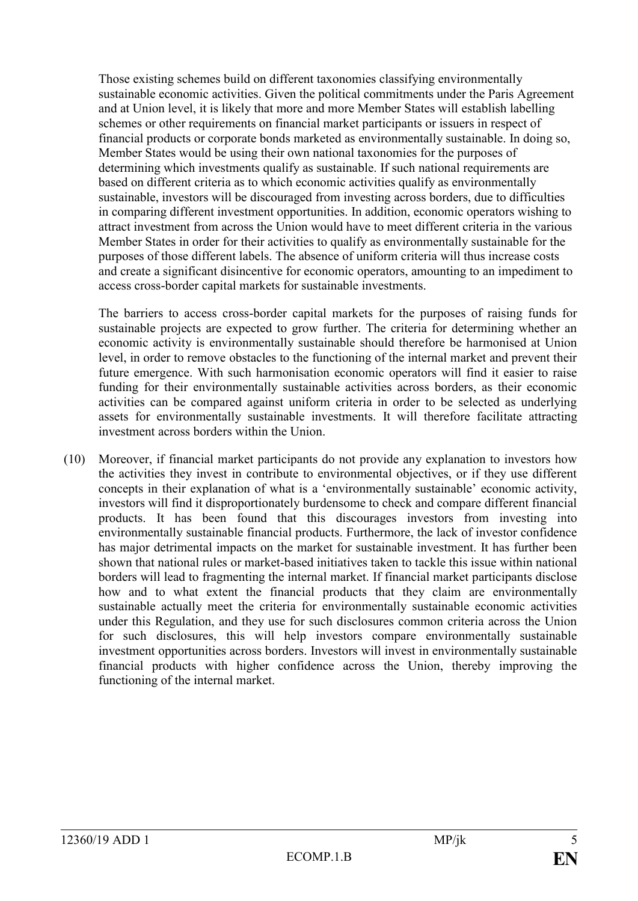Those existing schemes build on different taxonomies classifying environmentally sustainable economic activities. Given the political commitments under the Paris Agreement and at Union level, it is likely that more and more Member States will establish labelling schemes or other requirements on financial market participants or issuers in respect of financial products or corporate bonds marketed as environmentally sustainable. In doing so, Member States would be using their own national taxonomies for the purposes of determining which investments qualify as sustainable. If such national requirements are based on different criteria as to which economic activities qualify as environmentally sustainable, investors will be discouraged from investing across borders, due to difficulties in comparing different investment opportunities. In addition, economic operators wishing to attract investment from across the Union would have to meet different criteria in the various Member States in order for their activities to qualify as environmentally sustainable for the purposes of those different labels. The absence of uniform criteria will thus increase costs and create a significant disincentive for economic operators, amounting to an impediment to access cross-border capital markets for sustainable investments.

The barriers to access cross-border capital markets for the purposes of raising funds for sustainable projects are expected to grow further. The criteria for determining whether an economic activity is environmentally sustainable should therefore be harmonised at Union level, in order to remove obstacles to the functioning of the internal market and prevent their future emergence. With such harmonisation economic operators will find it easier to raise funding for their environmentally sustainable activities across borders, as their economic activities can be compared against uniform criteria in order to be selected as underlying assets for environmentally sustainable investments. It will therefore facilitate attracting investment across borders within the Union.

(10) Moreover, if financial market participants do not provide any explanation to investors how the activities they invest in contribute to environmental objectives, or if they use different concepts in their explanation of what is a 'environmentally sustainable' economic activity, investors will find it disproportionately burdensome to check and compare different financial products. It has been found that this discourages investors from investing into environmentally sustainable financial products. Furthermore, the lack of investor confidence has major detrimental impacts on the market for sustainable investment. It has further been shown that national rules or market-based initiatives taken to tackle this issue within national borders will lead to fragmenting the internal market. If financial market participants disclose how and to what extent the financial products that they claim are environmentally sustainable actually meet the criteria for environmentally sustainable economic activities under this Regulation, and they use for such disclosures common criteria across the Union for such disclosures, this will help investors compare environmentally sustainable investment opportunities across borders. Investors will invest in environmentally sustainable financial products with higher confidence across the Union, thereby improving the functioning of the internal market.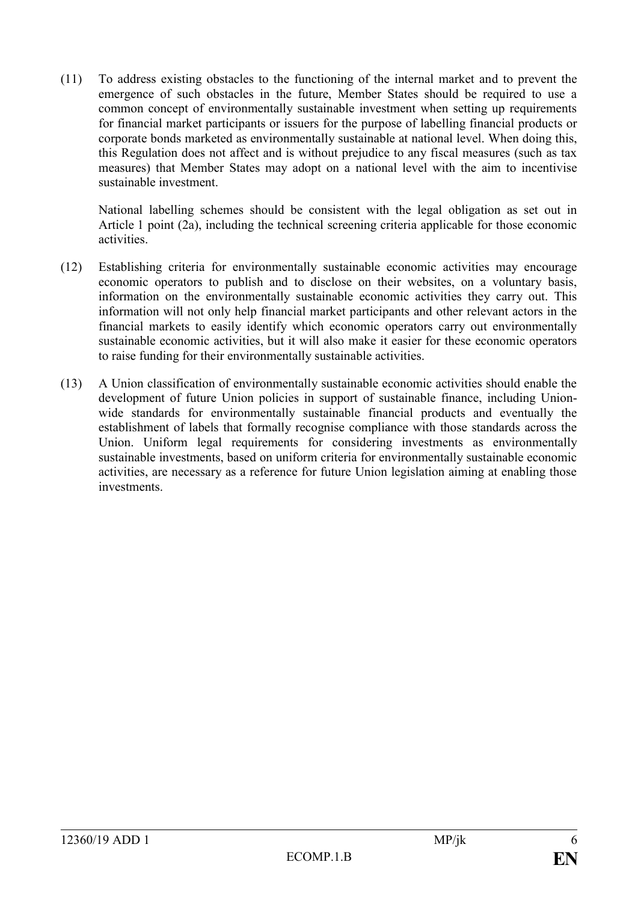(11) To address existing obstacles to the functioning of the internal market and to prevent the emergence of such obstacles in the future, Member States should be required to use a common concept of environmentally sustainable investment when setting up requirements for financial market participants or issuers for the purpose of labelling financial products or corporate bonds marketed as environmentally sustainable at national level. When doing this, this Regulation does not affect and is without prejudice to any fiscal measures (such as tax measures) that Member States may adopt on a national level with the aim to incentivise sustainable investment.

National labelling schemes should be consistent with the legal obligation as set out in Article 1 point (2a), including the technical screening criteria applicable for those economic activities.

- (12) Establishing criteria for environmentally sustainable economic activities may encourage economic operators to publish and to disclose on their websites, on a voluntary basis, information on the environmentally sustainable economic activities they carry out. This information will not only help financial market participants and other relevant actors in the financial markets to easily identify which economic operators carry out environmentally sustainable economic activities, but it will also make it easier for these economic operators to raise funding for their environmentally sustainable activities.
- (13) A Union classification of environmentally sustainable economic activities should enable the development of future Union policies in support of sustainable finance, including Unionwide standards for environmentally sustainable financial products and eventually the establishment of labels that formally recognise compliance with those standards across the Union. Uniform legal requirements for considering investments as environmentally sustainable investments, based on uniform criteria for environmentally sustainable economic activities, are necessary as a reference for future Union legislation aiming at enabling those investments.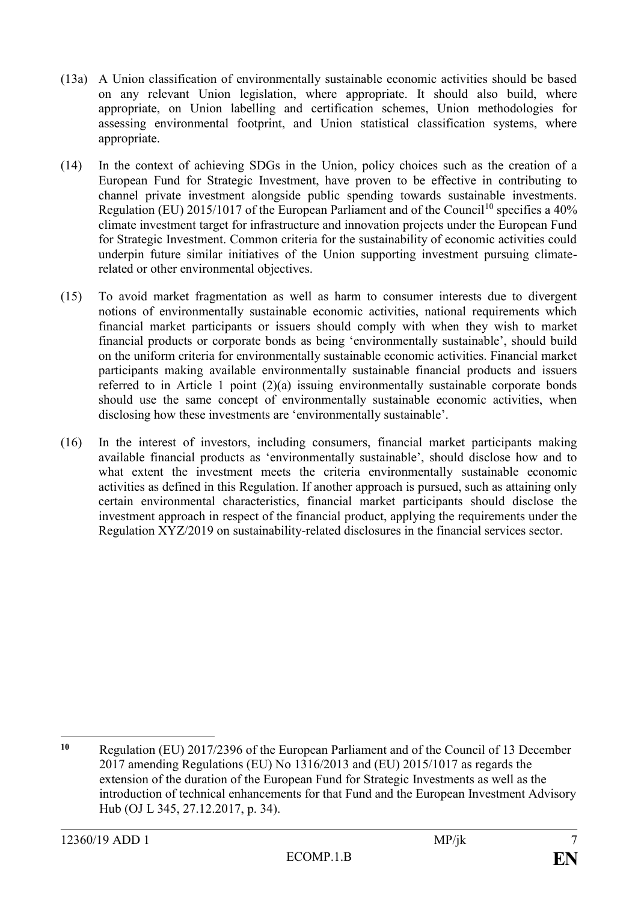- (13a) A Union classification of environmentally sustainable economic activities should be based on any relevant Union legislation, where appropriate. It should also build, where appropriate, on Union labelling and certification schemes, Union methodologies for assessing environmental footprint, and Union statistical classification systems, where appropriate.
- (14) In the context of achieving SDGs in the Union, policy choices such as the creation of a European Fund for Strategic Investment, have proven to be effective in contributing to channel private investment alongside public spending towards sustainable investments. Regulation (EU) 2015/1017 of the European Parliament and of the Council<sup>10</sup> specifies a  $40\%$ climate investment target for infrastructure and innovation projects under the European Fund for Strategic Investment. Common criteria for the sustainability of economic activities could underpin future similar initiatives of the Union supporting investment pursuing climaterelated or other environmental objectives.
- (15) To avoid market fragmentation as well as harm to consumer interests due to divergent notions of environmentally sustainable economic activities, national requirements which financial market participants or issuers should comply with when they wish to market financial products or corporate bonds as being 'environmentally sustainable', should build on the uniform criteria for environmentally sustainable economic activities. Financial market participants making available environmentally sustainable financial products and issuers referred to in Article 1 point (2)(a) issuing environmentally sustainable corporate bonds should use the same concept of environmentally sustainable economic activities, when disclosing how these investments are 'environmentally sustainable'.
- (16) In the interest of investors, including consumers, financial market participants making available financial products as 'environmentally sustainable', should disclose how and to what extent the investment meets the criteria environmentally sustainable economic activities as defined in this Regulation. If another approach is pursued, such as attaining only certain environmental characteristics, financial market participants should disclose the investment approach in respect of the financial product, applying the requirements under the Regulation XYZ/2019 on sustainability-related disclosures in the financial services sector.

 $\overline{a}$ **<sup>10</sup>** Regulation (EU) 2017/2396 of the European Parliament and of the Council of 13 December 2017 amending Regulations (EU) No 1316/2013 and (EU) 2015/1017 as regards the extension of the duration of the European Fund for Strategic Investments as well as the introduction of technical enhancements for that Fund and the European Investment Advisory Hub (OJ L 345, 27.12.2017, p. 34).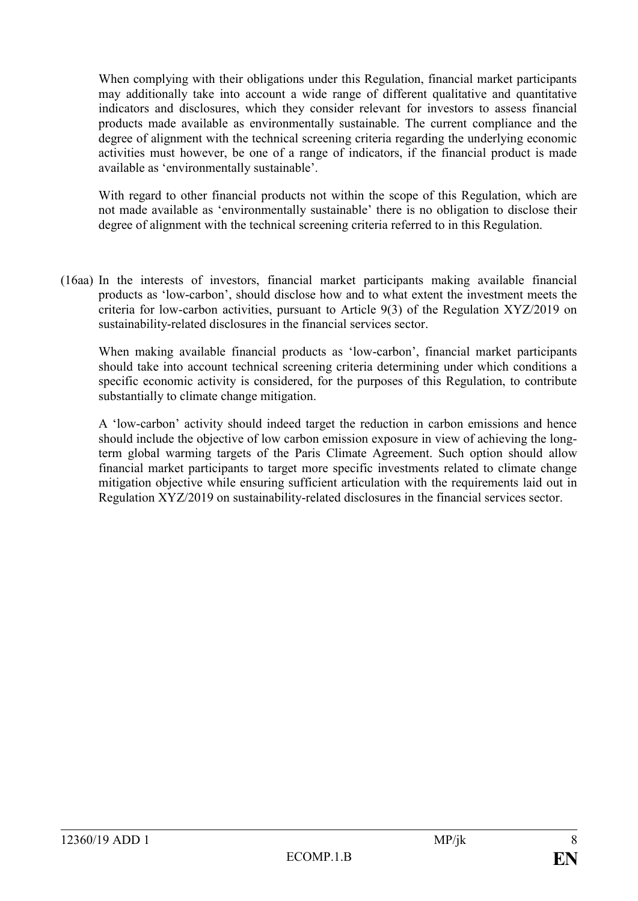When complying with their obligations under this Regulation, financial market participants may additionally take into account a wide range of different qualitative and quantitative indicators and disclosures, which they consider relevant for investors to assess financial products made available as environmentally sustainable. The current compliance and the degree of alignment with the technical screening criteria regarding the underlying economic activities must however, be one of a range of indicators, if the financial product is made available as 'environmentally sustainable'.

With regard to other financial products not within the scope of this Regulation, which are not made available as 'environmentally sustainable' there is no obligation to disclose their degree of alignment with the technical screening criteria referred to in this Regulation.

(16aa) In the interests of investors, financial market participants making available financial products as 'low-carbon', should disclose how and to what extent the investment meets the criteria for low-carbon activities, pursuant to Article 9(3) of the Regulation XYZ/2019 on sustainability-related disclosures in the financial services sector.

When making available financial products as 'low-carbon', financial market participants should take into account technical screening criteria determining under which conditions a specific economic activity is considered, for the purposes of this Regulation, to contribute substantially to climate change mitigation.

A 'low-carbon' activity should indeed target the reduction in carbon emissions and hence should include the objective of low carbon emission exposure in view of achieving the longterm global warming targets of the Paris Climate Agreement. Such option should allow financial market participants to target more specific investments related to climate change mitigation objective while ensuring sufficient articulation with the requirements laid out in Regulation XYZ/2019 on sustainability-related disclosures in the financial services sector.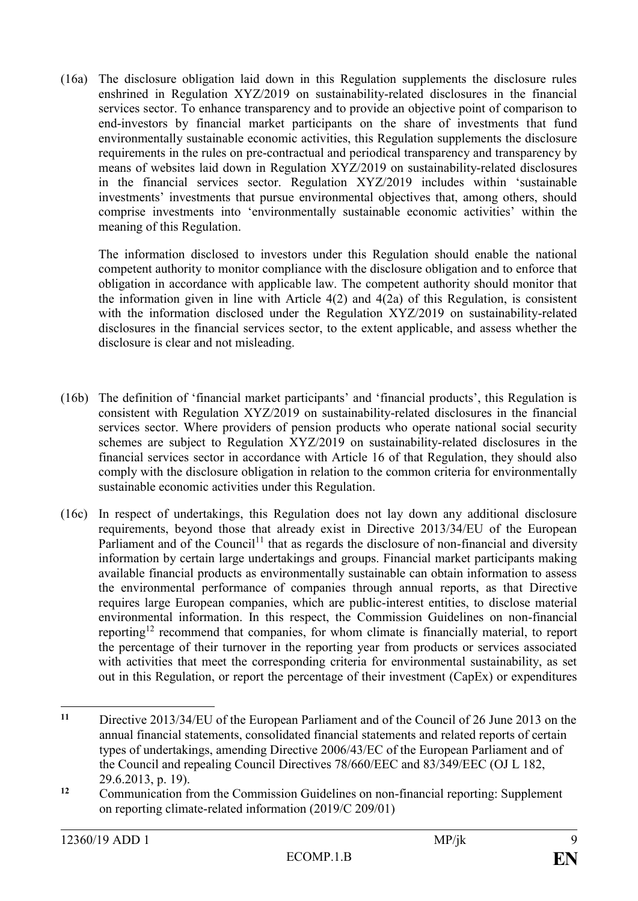(16a) The disclosure obligation laid down in this Regulation supplements the disclosure rules enshrined in Regulation XYZ/2019 on sustainability-related disclosures in the financial services sector. To enhance transparency and to provide an objective point of comparison to end-investors by financial market participants on the share of investments that fund environmentally sustainable economic activities, this Regulation supplements the disclosure requirements in the rules on pre-contractual and periodical transparency and transparency by means of websites laid down in Regulation XYZ/2019 on sustainability-related disclosures in the financial services sector. Regulation XYZ/2019 includes within 'sustainable investments' investments that pursue environmental objectives that, among others, should comprise investments into 'environmentally sustainable economic activities' within the meaning of this Regulation.

The information disclosed to investors under this Regulation should enable the national competent authority to monitor compliance with the disclosure obligation and to enforce that obligation in accordance with applicable law. The competent authority should monitor that the information given in line with Article 4(2) and 4(2a) of this Regulation, is consistent with the information disclosed under the Regulation XYZ/2019 on sustainability-related disclosures in the financial services sector, to the extent applicable, and assess whether the disclosure is clear and not misleading.

- (16b) The definition of 'financial market participants' and 'financial products', this Regulation is consistent with Regulation XYZ/2019 on sustainability-related disclosures in the financial services sector. Where providers of pension products who operate national social security schemes are subject to Regulation XYZ/2019 on sustainability-related disclosures in the financial services sector in accordance with Article 16 of that Regulation, they should also comply with the disclosure obligation in relation to the common criteria for environmentally sustainable economic activities under this Regulation.
- (16c) In respect of undertakings, this Regulation does not lay down any additional disclosure requirements, beyond those that already exist in Directive 2013/34/EU of the European Parliament and of the Council<sup>11</sup> that as regards the disclosure of non-financial and diversity information by certain large undertakings and groups. Financial market participants making available financial products as environmentally sustainable can obtain information to assess the environmental performance of companies through annual reports, as that Directive requires large European companies, which are public-interest entities, to disclose material environmental information. In this respect, the Commission Guidelines on non-financial reporting<sup>12</sup> recommend that companies, for whom climate is financially material, to report the percentage of their turnover in the reporting year from products or services associated with activities that meet the corresponding criteria for environmental sustainability, as set out in this Regulation, or report the percentage of their investment (CapEx) or expenditures

 $11$ **<sup>11</sup>** Directive 2013/34/EU of the European Parliament and of the Council of 26 June 2013 on the annual financial statements, consolidated financial statements and related reports of certain types of undertakings, amending Directive 2006/43/EC of the European Parliament and of the Council and repealing Council Directives 78/660/EEC and 83/349/EEC (OJ L 182, 29.6.2013, p. 19).

<sup>&</sup>lt;sup>12</sup> Communication from the Commission Guidelines on non-financial reporting: Supplement on reporting climate-related information (2019/C 209/01)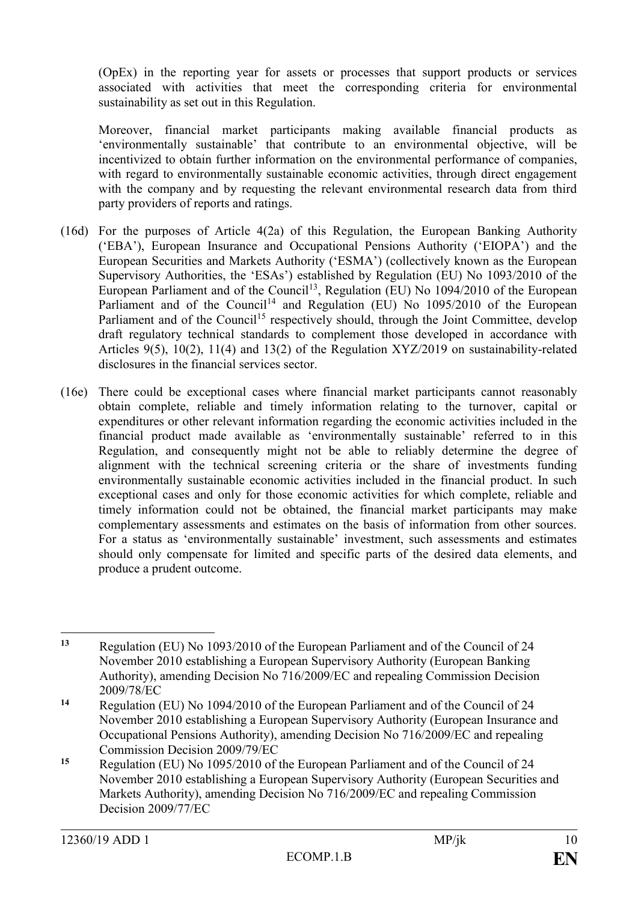(OpEx) in the reporting year for assets or processes that support products or services associated with activities that meet the corresponding criteria for environmental sustainability as set out in this Regulation.

Moreover, financial market participants making available financial products as 'environmentally sustainable' that contribute to an environmental objective, will be incentivized to obtain further information on the environmental performance of companies, with regard to environmentally sustainable economic activities, through direct engagement with the company and by requesting the relevant environmental research data from third party providers of reports and ratings.

- (16d) For the purposes of Article 4(2a) of this Regulation, the European Banking Authority ('EBA'), European Insurance and Occupational Pensions Authority ('EIOPA') and the European Securities and Markets Authority ('ESMA') (collectively known as the European Supervisory Authorities, the 'ESAs') established by Regulation (EU) No 1093/2010 of the European Parliament and of the Council<sup>13</sup>, Regulation (EU) No  $1094/2010$  of the European Parliament and of the Council<sup>14</sup> and Regulation (EU) No  $1095/2010$  of the European Parliament and of the Council<sup>15</sup> respectively should, through the Joint Committee, develop draft regulatory technical standards to complement those developed in accordance with Articles 9(5), 10(2), 11(4) and 13(2) of the Regulation XYZ/2019 on sustainability-related disclosures in the financial services sector.
- (16e) There could be exceptional cases where financial market participants cannot reasonably obtain complete, reliable and timely information relating to the turnover, capital or expenditures or other relevant information regarding the economic activities included in the financial product made available as 'environmentally sustainable' referred to in this Regulation, and consequently might not be able to reliably determine the degree of alignment with the technical screening criteria or the share of investments funding environmentally sustainable economic activities included in the financial product. In such exceptional cases and only for those economic activities for which complete, reliable and timely information could not be obtained, the financial market participants may make complementary assessments and estimates on the basis of information from other sources. For a status as 'environmentally sustainable' investment, such assessments and estimates should only compensate for limited and specific parts of the desired data elements, and produce a prudent outcome.

 $\overline{a}$ **<sup>13</sup>** Regulation (EU) No 1093/2010 of the European Parliament and of the Council of 24 November 2010 establishing a European Supervisory Authority (European Banking Authority), amending Decision No 716/2009/EC and repealing Commission Decision 2009/78/EC

**<sup>14</sup>** Regulation (EU) No 1094/2010 of the European Parliament and of the Council of 24 November 2010 establishing a European Supervisory Authority (European Insurance and Occupational Pensions Authority), amending Decision No 716/2009/EC and repealing Commission Decision 2009/79/EC

**<sup>15</sup>** Regulation (EU) No 1095/2010 of the European Parliament and of the Council of 24 November 2010 establishing a European Supervisory Authority (European Securities and Markets Authority), amending Decision No 716/2009/EC and repealing Commission Decision 2009/77/EC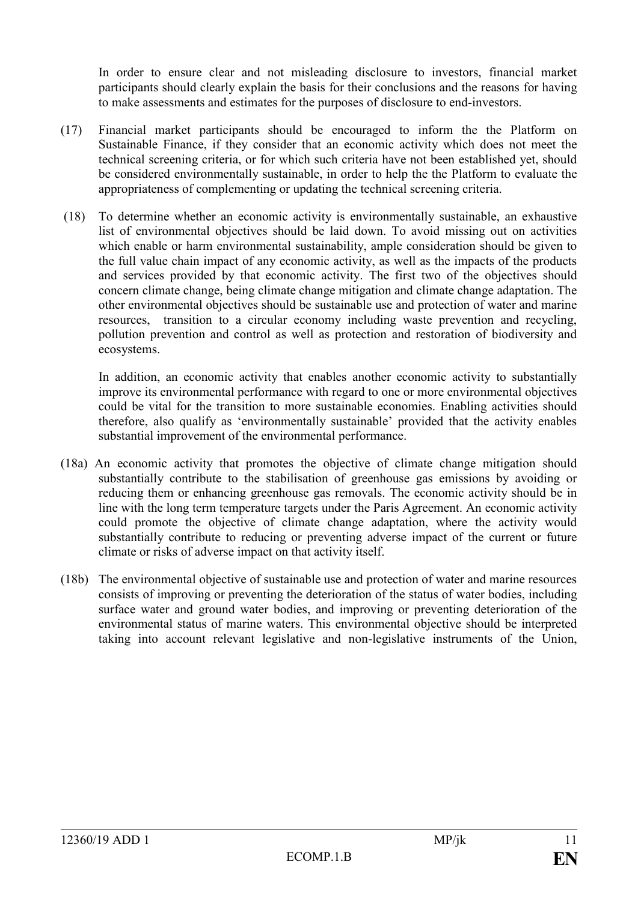In order to ensure clear and not misleading disclosure to investors, financial market participants should clearly explain the basis for their conclusions and the reasons for having to make assessments and estimates for the purposes of disclosure to end-investors.

- (17) Financial market participants should be encouraged to inform the the Platform on Sustainable Finance, if they consider that an economic activity which does not meet the technical screening criteria, or for which such criteria have not been established yet, should be considered environmentally sustainable, in order to help the the Platform to evaluate the appropriateness of complementing or updating the technical screening criteria.
- (18) To determine whether an economic activity is environmentally sustainable, an exhaustive list of environmental objectives should be laid down. To avoid missing out on activities which enable or harm environmental sustainability, ample consideration should be given to the full value chain impact of any economic activity, as well as the impacts of the products and services provided by that economic activity. The first two of the objectives should concern climate change, being climate change mitigation and climate change adaptation. The other environmental objectives should be sustainable use and protection of water and marine resources, transition to a circular economy including waste prevention and recycling, pollution prevention and control as well as protection and restoration of biodiversity and ecosystems.

In addition, an economic activity that enables another economic activity to substantially improve its environmental performance with regard to one or more environmental objectives could be vital for the transition to more sustainable economies. Enabling activities should therefore, also qualify as 'environmentally sustainable' provided that the activity enables substantial improvement of the environmental performance.

- (18a) An economic activity that promotes the objective of climate change mitigation should substantially contribute to the stabilisation of greenhouse gas emissions by avoiding or reducing them or enhancing greenhouse gas removals. The economic activity should be in line with the long term temperature targets under the Paris Agreement. An economic activity could promote the objective of climate change adaptation, where the activity would substantially contribute to reducing or preventing adverse impact of the current or future climate or risks of adverse impact on that activity itself.
- (18b) The environmental objective of sustainable use and protection of water and marine resources consists of improving or preventing the deterioration of the status of water bodies, including surface water and ground water bodies, and improving or preventing deterioration of the environmental status of marine waters. This environmental objective should be interpreted taking into account relevant legislative and non-legislative instruments of the Union,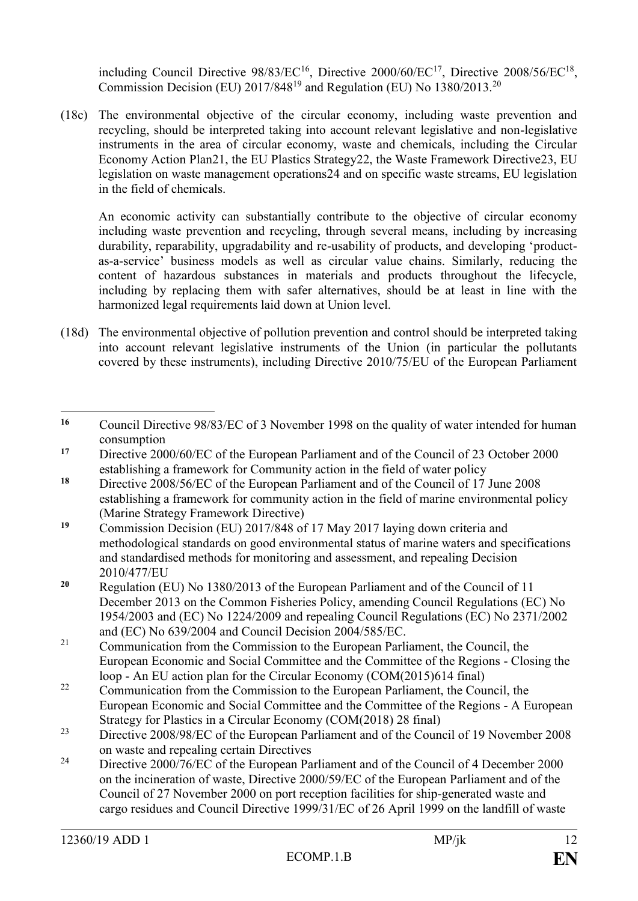including Council Directive  $98/83/EC^{16}$ , Directive  $2000/60/EC^{17}$ , Directive  $2008/56/EC^{18}$ , Commission Decision (EU)  $2017/848^{19}$  and Regulation (EU) No 1380/2013.<sup>20</sup>

(18c) The environmental objective of the circular economy, including waste prevention and recycling, should be interpreted taking into account relevant legislative and non-legislative instruments in the area of circular economy, waste and chemicals, including the Circular Economy Action Plan21, the EU Plastics Strategy22, the Waste Framework Directive23, EU legislation on waste management operations24 and on specific waste streams, EU legislation in the field of chemicals.

An economic activity can substantially contribute to the objective of circular economy including waste prevention and recycling, through several means, including by increasing durability, reparability, upgradability and re-usability of products, and developing 'productas-a-service' business models as well as circular value chains. Similarly, reducing the content of hazardous substances in materials and products throughout the lifecycle, including by replacing them with safer alternatives, should be at least in line with the harmonized legal requirements laid down at Union level.

(18d) The environmental objective of pollution prevention and control should be interpreted taking into account relevant legislative instruments of the Union (in particular the pollutants covered by these instruments), including Directive 2010/75/EU of the European Parliament

<sup>22</sup> Communication from the Commission to the European Parliament, the Council, the European Economic and Social Committee and the Committee of the Regions - A European Strategy for Plastics in a Circular Economy (COM(2018) 28 final)

<sup>24</sup> Directive 2000/76/EC of the European Parliament and of the Council of 4 December 2000 on the incineration of waste, Directive 2000/59/EC of the European Parliament and of the Council of 27 November 2000 on port reception facilities for ship-generated waste and cargo residues and Council Directive 1999/31/EC of 26 April 1999 on the landfill of waste

 $\overline{a}$ **<sup>16</sup>** Council Directive 98/83/EC of 3 November 1998 on the quality of water intended for human consumption

**<sup>17</sup>** Directive 2000/60/EC of the European Parliament and of the Council of 23 October 2000 establishing a framework for Community action in the field of water policy

**<sup>18</sup>** Directive 2008/56/EC of the European Parliament and of the Council of 17 June 2008 establishing a framework for community action in the field of marine environmental policy (Marine Strategy Framework Directive)

**<sup>19</sup>** Commission Decision (EU) 2017/848 of 17 May 2017 laying down criteria and methodological standards on good environmental status of marine waters and specifications and standardised methods for monitoring and assessment, and repealing Decision 2010/477/EU

**<sup>20</sup>** Regulation (EU) No 1380/2013 of the European Parliament and of the Council of 11 December 2013 on the Common Fisheries Policy, amending Council Regulations (EC) No 1954/2003 and (EC) No 1224/2009 and repealing Council Regulations (EC) No 2371/2002 and (EC) No 639/2004 and Council Decision 2004/585/EC.

<sup>&</sup>lt;sup>21</sup> Communication from the Commission to the European Parliament, the Council, the European Economic and Social Committee and the Committee of the Regions - Closing the loop - An EU action plan for the Circular Economy (COM(2015)614 final)

<sup>&</sup>lt;sup>23</sup> Directive 2008/98/EC of the European Parliament and of the Council of 19 November 2008 on waste and repealing certain Directives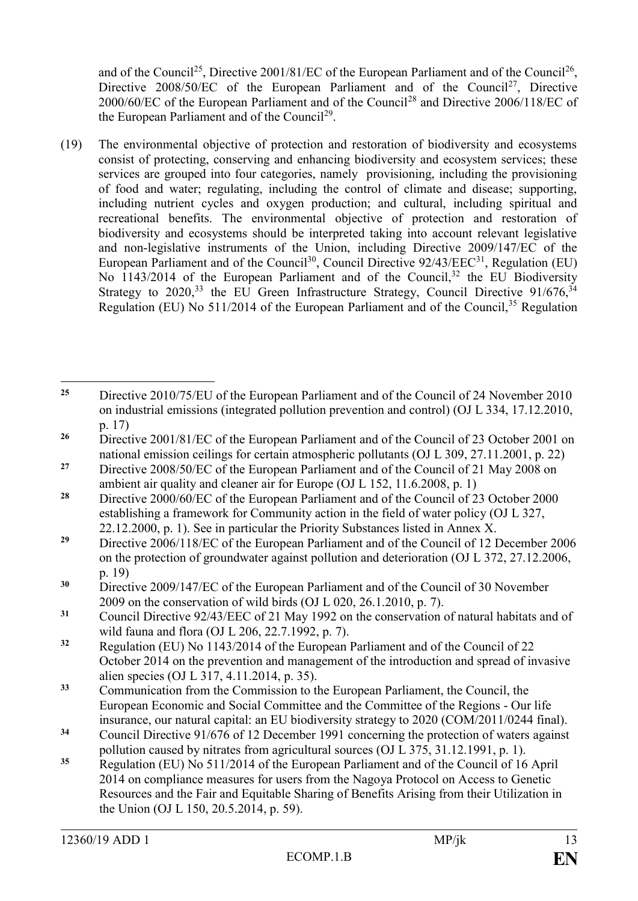and of the Council<sup>25</sup>, Directive 2001/81/EC of the European Parliament and of the Council<sup>26</sup>, Directive  $2008/50/EC$  of the European Parliament and of the Council<sup>27</sup>, Directive 2000/60/EC of the European Parliament and of the Council<sup>28</sup> and Directive 2006/118/EC of the European Parliament and of the Council<sup>29</sup>.

(19) The environmental objective of protection and restoration of biodiversity and ecosystems consist of protecting, conserving and enhancing biodiversity and ecosystem services; these services are grouped into four categories, namely provisioning, including the provisioning of food and water; regulating, including the control of climate and disease; supporting, including nutrient cycles and oxygen production; and cultural, including spiritual and recreational benefits. The environmental objective of protection and restoration of biodiversity and ecosystems should be interpreted taking into account relevant legislative and non-legislative instruments of the Union, including Directive 2009/147/EC of the European Parliament and of the Council<sup>30</sup>, Council Directive  $92/43/EEC^{31}$ , Regulation (EU) No 1143/2014 of the European Parliament and of the Council,<sup>32</sup> the EU Biodiversity Strategy to  $2020^{33}$  the EU Green Infrastructure Strategy, Council Directive  $91/676^{34}$ Regulation (EU) No  $511/2014$  of the European Parliament and of the Council,  $35$  Regulation

 $\overline{a}$ <sup>25</sup> Directive 2010/75/EU of the European Parliament and of the Council of 24 November 2010 on industrial emissions (integrated pollution prevention and control) (OJ L 334, 17.12.2010, p. 17)

<sup>&</sup>lt;sup>26</sup> Directive 2001/81/EC of the European Parliament and of the Council of 23 October 2001 on national emission ceilings for certain atmospheric pollutants (OJ L 309, 27.11.2001, p. 22)

<sup>&</sup>lt;sup>27</sup> Directive 2008/50/EC of the European Parliament and of the Council of 21 May 2008 on ambient air quality and cleaner air for Europe (OJ L 152, 11.6.2008, p. 1)

<sup>&</sup>lt;sup>28</sup> Directive 2000/60/EC of the European Parliament and of the Council of 23 October 2000 establishing a framework for Community action in the field of water policy (OJ L 327, 22.12.2000, p. 1). See in particular the Priority Substances listed in Annex X.

<sup>&</sup>lt;sup>29</sup> Directive 2006/118/EC of the European Parliament and of the Council of 12 December 2006 on the protection of groundwater against pollution and deterioration (OJ L 372, 27.12.2006, p. 19)

**<sup>30</sup>** Directive 2009/147/EC of the European Parliament and of the Council of 30 November 2009 on the conservation of wild birds (OJ L 020, 26.1.2010, p. 7).

**<sup>31</sup>** Council Directive 92/43/EEC of 21 May 1992 on the conservation of natural habitats and of wild fauna and flora (OJ L 206, 22.7.1992, p. 7).

**<sup>32</sup>** Regulation (EU) No 1143/2014 of the European Parliament and of the Council of 22 October 2014 on the prevention and management of the introduction and spread of invasive alien species (OJ L 317, 4.11.2014, p. 35).

**<sup>33</sup>** Communication from the Commission to the European Parliament, the Council, the European Economic and Social Committee and the Committee of the Regions - Our life insurance, our natural capital: an EU biodiversity strategy to 2020 (COM/2011/0244 final).

**<sup>34</sup>** Council Directive 91/676 of 12 December 1991 concerning the protection of waters against pollution caused by nitrates from agricultural sources (OJ L 375, 31.12.1991, p. 1).

**<sup>35</sup>** Regulation (EU) No 511/2014 of the European Parliament and of the Council of 16 April 2014 on compliance measures for users from the Nagoya Protocol on Access to Genetic Resources and the Fair and Equitable Sharing of Benefits Arising from their Utilization in the Union (OJ L 150, 20.5.2014, p. 59).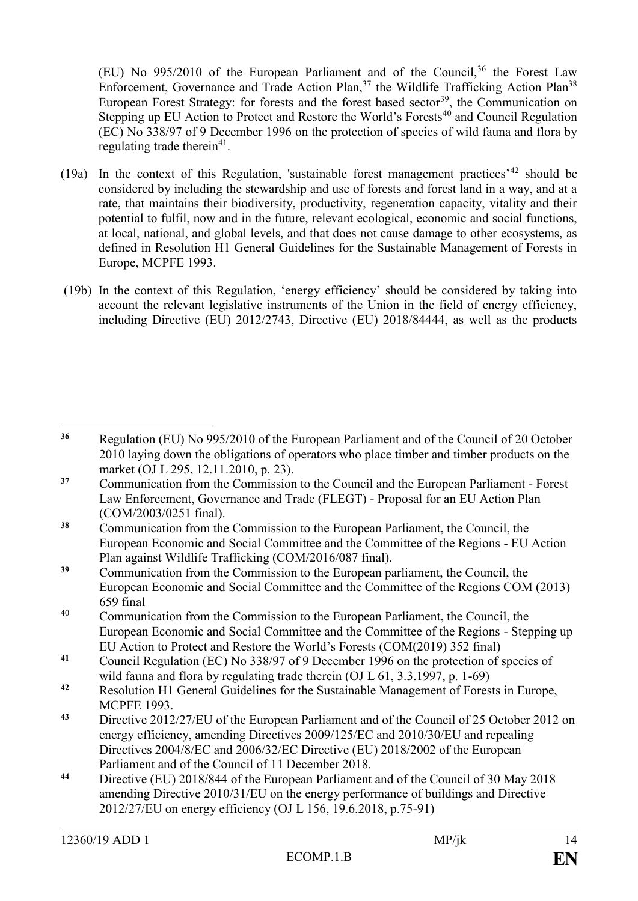(EU) No  $995/2010$  of the European Parliament and of the Council,<sup>36</sup> the Forest Law Enforcement, Governance and Trade Action Plan,  $37$  the Wildlife Trafficking Action Plan<sup>38</sup> European Forest Strategy: for forests and the forest based sector<sup>39</sup>, the Communication on Stepping up EU Action to Protect and Restore the World's Forests<sup>40</sup> and Council Regulation (EC) No 338/97 of 9 December 1996 on the protection of species of wild fauna and flora by regulating trade therein<sup>41</sup>.

- (19a) In the context of this Regulation, 'sustainable forest management practices'<sup>42</sup> should be considered by including the stewardship and use of forests and forest land in a way, and at a rate, that maintains their biodiversity, productivity, regeneration capacity, vitality and their potential to fulfil, now and in the future, relevant ecological, economic and social functions, at local, national, and global levels, and that does not cause damage to other ecosystems, as defined in Resolution H1 General Guidelines for the Sustainable Management of Forests in Europe, MCPFE 1993.
- (19b) In the context of this Regulation, 'energy efficiency' should be considered by taking into account the relevant legislative instruments of the Union in the field of energy efficiency, including Directive (EU) 2012/2743, Directive (EU) 2018/84444, as well as the products

- <sup>40</sup> Communication from the Commission to the European Parliament, the Council, the European Economic and Social Committee and the Committee of the Regions - Stepping up EU Action to Protect and Restore the World's Forests (COM(2019) 352 final)
- **<sup>41</sup>** Council Regulation (EC) No 338/97 of 9 December 1996 on the protection of species of wild fauna and flora by regulating trade therein (OJ L 61, 3.3.1997, p. 1-69)
- **<sup>42</sup>** Resolution H1 General Guidelines for the Sustainable Management of Forests in Europe, MCPFE 1993.
- **<sup>43</sup>** Directive 2012/27/EU of the European Parliament and of the Council of 25 October 2012 on energy efficiency, amending Directives 2009/125/EC and 2010/30/EU and repealing Directives 2004/8/EC and 2006/32/EC Directive (EU) 2018/2002 of the European Parliament and of the Council of 11 December 2018.
- **<sup>44</sup>** Directive (EU) 2018/844 of the European Parliament and of the Council of 30 May 2018 amending Directive 2010/31/EU on the energy performance of buildings and Directive 2012/27/EU on energy efficiency (OJ L 156, 19.6.2018, p.75-91)

<sup>36</sup> **<sup>36</sup>** Regulation (EU) No 995/2010 of the European Parliament and of the Council of 20 October 2010 laying down the obligations of operators who place timber and timber products on the market (OJ L 295, 12.11.2010, p. 23).

**<sup>37</sup>** Communication from the Commission to the Council and the European Parliament - Forest Law Enforcement, Governance and Trade (FLEGT) - Proposal for an EU Action Plan (COM/2003/0251 final).

**<sup>38</sup>** Communication from the Commission to the European Parliament, the Council, the European Economic and Social Committee and the Committee of the Regions - EU Action Plan against Wildlife Trafficking (COM/2016/087 final).

**<sup>39</sup>** Communication from the Commission to the European parliament, the Council, the European Economic and Social Committee and the Committee of the Regions COM (2013) 659 final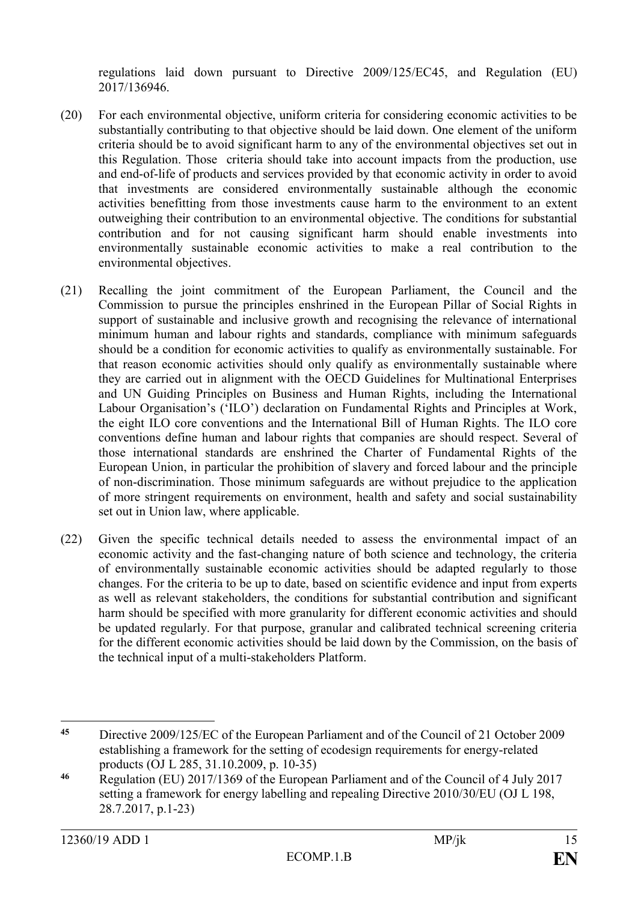regulations laid down pursuant to Directive 2009/125/EC45, and Regulation (EU) 2017/136946.

- (20) For each environmental objective, uniform criteria for considering economic activities to be substantially contributing to that objective should be laid down. One element of the uniform criteria should be to avoid significant harm to any of the environmental objectives set out in this Regulation. Those criteria should take into account impacts from the production, use and end-of-life of products and services provided by that economic activity in order to avoid that investments are considered environmentally sustainable although the economic activities benefitting from those investments cause harm to the environment to an extent outweighing their contribution to an environmental objective. The conditions for substantial contribution and for not causing significant harm should enable investments into environmentally sustainable economic activities to make a real contribution to the environmental objectives.
- (21) Recalling the joint commitment of the European Parliament, the Council and the Commission to pursue the principles enshrined in the European Pillar of Social Rights in support of sustainable and inclusive growth and recognising the relevance of international minimum human and labour rights and standards, compliance with minimum safeguards should be a condition for economic activities to qualify as environmentally sustainable. For that reason economic activities should only qualify as environmentally sustainable where they are carried out in alignment with the OECD Guidelines for Multinational Enterprises and UN Guiding Principles on Business and Human Rights, including the International Labour Organisation's ('ILO') declaration on Fundamental Rights and Principles at Work, the eight ILO core conventions and the International Bill of Human Rights. The ILO core conventions define human and labour rights that companies are should respect. Several of those international standards are enshrined the Charter of Fundamental Rights of the European Union, in particular the prohibition of slavery and forced labour and the principle of non-discrimination. Those minimum safeguards are without prejudice to the application of more stringent requirements on environment, health and safety and social sustainability set out in Union law, where applicable.
- (22) Given the specific technical details needed to assess the environmental impact of an economic activity and the fast-changing nature of both science and technology, the criteria of environmentally sustainable economic activities should be adapted regularly to those changes. For the criteria to be up to date, based on scientific evidence and input from experts as well as relevant stakeholders, the conditions for substantial contribution and significant harm should be specified with more granularity for different economic activities and should be updated regularly. For that purpose, granular and calibrated technical screening criteria for the different economic activities should be laid down by the Commission, on the basis of the technical input of a multi-stakeholders Platform.

 $\overline{a}$ **<sup>45</sup>** Directive 2009/125/EC of the European Parliament and of the Council of 21 October 2009 establishing a framework for the setting of ecodesign requirements for energy-related products (OJ L 285, 31.10.2009, p. 10-35)

**<sup>46</sup>** Regulation (EU) 2017/1369 of the European Parliament and of the Council of 4 July 2017 setting a framework for energy labelling and repealing Directive 2010/30/EU (OJ L 198, 28.7.2017, p.1-23)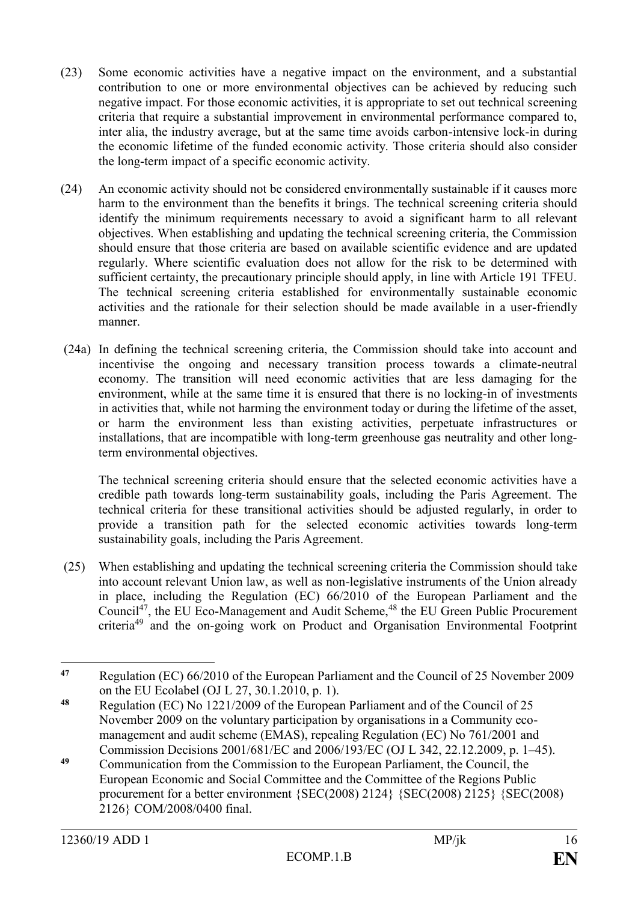- (23) Some economic activities have a negative impact on the environment, and a substantial contribution to one or more environmental objectives can be achieved by reducing such negative impact. For those economic activities, it is appropriate to set out technical screening criteria that require a substantial improvement in environmental performance compared to, inter alia, the industry average, but at the same time avoids carbon-intensive lock-in during the economic lifetime of the funded economic activity. Those criteria should also consider the long-term impact of a specific economic activity.
- (24) An economic activity should not be considered environmentally sustainable if it causes more harm to the environment than the benefits it brings. The technical screening criteria should identify the minimum requirements necessary to avoid a significant harm to all relevant objectives. When establishing and updating the technical screening criteria, the Commission should ensure that those criteria are based on available scientific evidence and are updated regularly. Where scientific evaluation does not allow for the risk to be determined with sufficient certainty, the precautionary principle should apply, in line with Article 191 TFEU. The technical screening criteria established for environmentally sustainable economic activities and the rationale for their selection should be made available in a user-friendly manner.
- (24a) In defining the technical screening criteria, the Commission should take into account and incentivise the ongoing and necessary transition process towards a climate-neutral economy. The transition will need economic activities that are less damaging for the environment, while at the same time it is ensured that there is no locking-in of investments in activities that, while not harming the environment today or during the lifetime of the asset, or harm the environment less than existing activities, perpetuate infrastructures or installations, that are incompatible with long-term greenhouse gas neutrality and other longterm environmental objectives.

The technical screening criteria should ensure that the selected economic activities have a credible path towards long-term sustainability goals, including the Paris Agreement. The technical criteria for these transitional activities should be adjusted regularly, in order to provide a transition path for the selected economic activities towards long-term sustainability goals, including the Paris Agreement.

(25) When establishing and updating the technical screening criteria the Commission should take into account relevant Union law, as well as non-legislative instruments of the Union already in place, including the Regulation (EC) 66/2010 of the European Parliament and the Council<sup>47</sup>, the EU Eco-Management and Audit Scheme,<sup>48</sup> the EU Green Public Procurement criteria<sup>49</sup> and the on-going work on Product and Organisation Environmental Footprint

 $\overline{a}$ **<sup>47</sup>** Regulation (EC) 66/2010 of the European Parliament and the Council of 25 November 2009 on the EU Ecolabel (OJ L 27, 30.1.2010, p. 1).

**<sup>48</sup>** Regulation (EC) No 1221/2009 of the European Parliament and of the Council of 25 November 2009 on the voluntary participation by organisations in a Community ecomanagement and audit scheme (EMAS), repealing Regulation (EC) No 761/2001 and Commission Decisions 2001/681/EC and 2006/193/EC (OJ L 342, 22.12.2009, p. 1–45).

**<sup>49</sup>** Communication from the Commission to the European Parliament, the Council, the European Economic and Social Committee and the Committee of the Regions Public procurement for a better environment {SEC(2008) 2124} {SEC(2008) 2125} {SEC(2008) 2126} COM/2008/0400 final.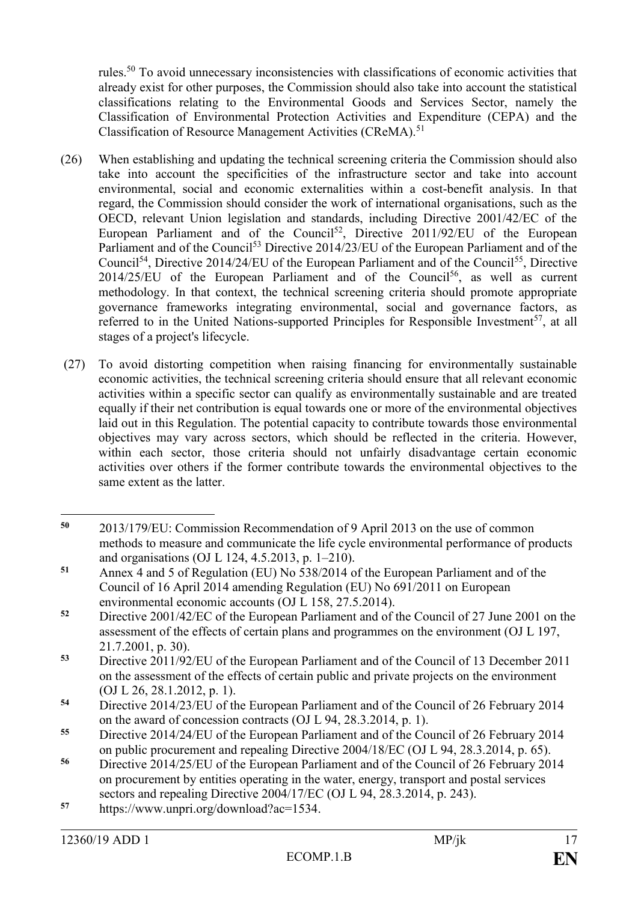rules.<sup>50</sup> To avoid unnecessary inconsistencies with classifications of economic activities that already exist for other purposes, the Commission should also take into account the statistical classifications relating to the Environmental Goods and Services Sector, namely the Classification of Environmental Protection Activities and Expenditure (CEPA) and the Classification of Resource Management Activities (CReMA).<sup>51</sup>

- (26) When establishing and updating the technical screening criteria the Commission should also take into account the specificities of the infrastructure sector and take into account environmental, social and economic externalities within a cost-benefit analysis. In that regard, the Commission should consider the work of international organisations, such as the OECD, relevant Union legislation and standards, including Directive 2001/42/EC of the European Parliament and of the Council<sup>52</sup>, Directive 2011/92/EU of the European Parliament and of the Council<sup>53</sup> Directive 2014/23/EU of the European Parliament and of the Council<sup>54</sup>, Directive 2014/24/EU of the European Parliament and of the Council<sup>55</sup>, Directive  $2014/25/EU$  of the European Parliament and of the Council<sup>56</sup>, as well as current methodology. In that context, the technical screening criteria should promote appropriate governance frameworks integrating environmental, social and governance factors, as referred to in the United Nations-supported Principles for Responsible Investment<sup>57</sup>, at all stages of a project's lifecycle.
- (27) To avoid distorting competition when raising financing for environmentally sustainable economic activities, the technical screening criteria should ensure that all relevant economic activities within a specific sector can qualify as environmentally sustainable and are treated equally if their net contribution is equal towards one or more of the environmental objectives laid out in this Regulation. The potential capacity to contribute towards those environmental objectives may vary across sectors, which should be reflected in the criteria. However, within each sector, those criteria should not unfairly disadvantage certain economic activities over others if the former contribute towards the environmental objectives to the same extent as the latter.

 $\overline{a}$ **<sup>50</sup>** 2013/179/EU: Commission Recommendation of 9 April 2013 on the use of common methods to measure and communicate the life cycle environmental performance of products and organisations (OJ L 124, 4.5.2013, p. 1–210).

**<sup>51</sup>** Annex 4 and 5 of Regulation (EU) No 538/2014 of the European Parliament and of the Council of 16 April 2014 amending Regulation (EU) No 691/2011 on European environmental economic accounts (OJ L 158, 27.5.2014).

**<sup>52</sup>** Directive 2001/42/EC of the European Parliament and of the Council of 27 June 2001 on the assessment of the effects of certain plans and programmes on the environment (OJ L 197, 21.7.2001, p. 30).

**<sup>53</sup>** Directive 2011/92/EU of the European Parliament and of the Council of 13 December 2011 on the assessment of the effects of certain public and private projects on the environment (OJ L 26, 28.1.2012, p. 1).

**<sup>54</sup>** Directive 2014/23/EU of the European Parliament and of the Council of 26 February 2014 on the award of concession contracts (OJ L 94, 28.3.2014, p. 1).

**<sup>55</sup>** Directive 2014/24/EU of the European Parliament and of the Council of 26 February 2014 on public procurement and repealing Directive 2004/18/EC (OJ L 94, 28.3.2014, p. 65).

**<sup>56</sup>** Directive 2014/25/EU of the European Parliament and of the Council of 26 February 2014 on procurement by entities operating in the water, energy, transport and postal services sectors and repealing Directive 2004/17/EC (OJ L 94, 28.3.2014, p. 243).

**<sup>57</sup>** https://www.unpri.org/download?ac=1534.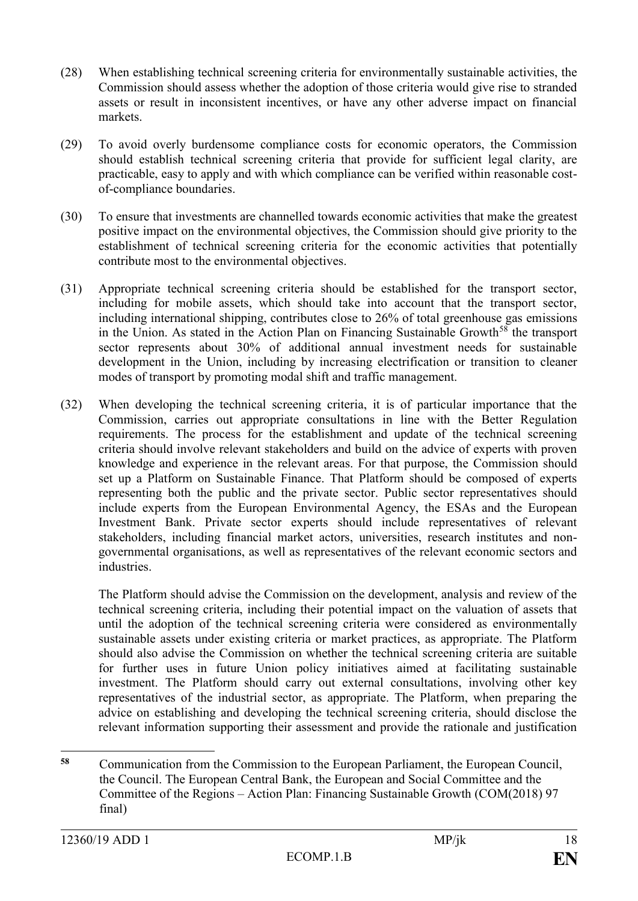- (28) When establishing technical screening criteria for environmentally sustainable activities, the Commission should assess whether the adoption of those criteria would give rise to stranded assets or result in inconsistent incentives, or have any other adverse impact on financial markets.
- (29) To avoid overly burdensome compliance costs for economic operators, the Commission should establish technical screening criteria that provide for sufficient legal clarity, are practicable, easy to apply and with which compliance can be verified within reasonable costof-compliance boundaries.
- (30) To ensure that investments are channelled towards economic activities that make the greatest positive impact on the environmental objectives, the Commission should give priority to the establishment of technical screening criteria for the economic activities that potentially contribute most to the environmental objectives.
- (31) Appropriate technical screening criteria should be established for the transport sector, including for mobile assets, which should take into account that the transport sector, including international shipping, contributes close to 26% of total greenhouse gas emissions in the Union. As stated in the Action Plan on Financing Sustainable Growth<sup>58</sup> the transport sector represents about 30% of additional annual investment needs for sustainable development in the Union, including by increasing electrification or transition to cleaner modes of transport by promoting modal shift and traffic management.
- (32) When developing the technical screening criteria, it is of particular importance that the Commission, carries out appropriate consultations in line with the Better Regulation requirements. The process for the establishment and update of the technical screening criteria should involve relevant stakeholders and build on the advice of experts with proven knowledge and experience in the relevant areas. For that purpose, the Commission should set up a Platform on Sustainable Finance. That Platform should be composed of experts representing both the public and the private sector. Public sector representatives should include experts from the European Environmental Agency, the ESAs and the European Investment Bank. Private sector experts should include representatives of relevant stakeholders, including financial market actors, universities, research institutes and nongovernmental organisations, as well as representatives of the relevant economic sectors and industries.

The Platform should advise the Commission on the development, analysis and review of the technical screening criteria, including their potential impact on the valuation of assets that until the adoption of the technical screening criteria were considered as environmentally sustainable assets under existing criteria or market practices, as appropriate. The Platform should also advise the Commission on whether the technical screening criteria are suitable for further uses in future Union policy initiatives aimed at facilitating sustainable investment. The Platform should carry out external consultations, involving other key representatives of the industrial sector, as appropriate. The Platform, when preparing the advice on establishing and developing the technical screening criteria, should disclose the relevant information supporting their assessment and provide the rationale and justification

 $\overline{a}$ **<sup>58</sup>** Communication from the Commission to the European Parliament, the European Council, the Council. The European Central Bank, the European and Social Committee and the Committee of the Regions – Action Plan: Financing Sustainable Growth (COM(2018) 97 final)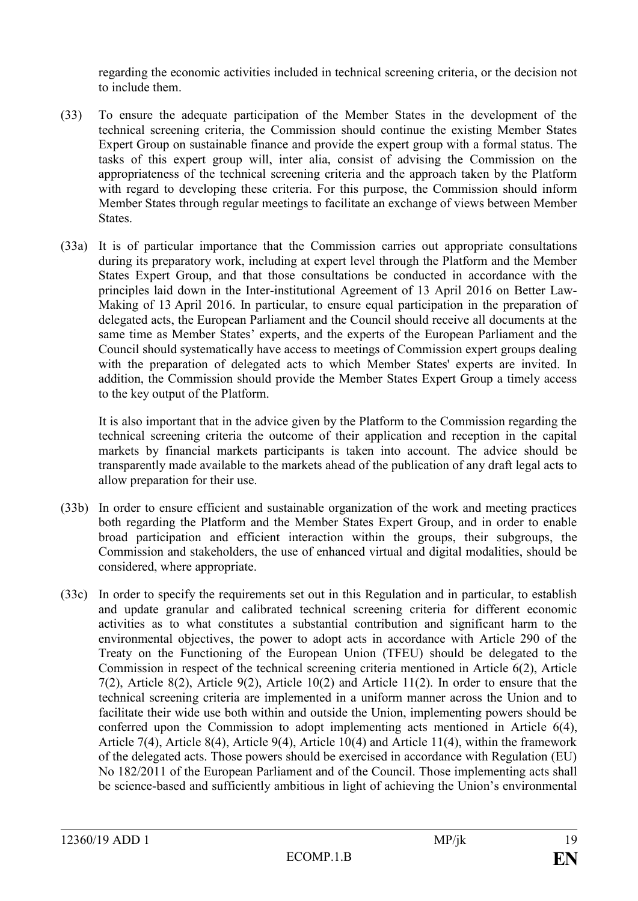regarding the economic activities included in technical screening criteria, or the decision not to include them.

- (33) To ensure the adequate participation of the Member States in the development of the technical screening criteria, the Commission should continue the existing Member States Expert Group on sustainable finance and provide the expert group with a formal status. The tasks of this expert group will, inter alia, consist of advising the Commission on the appropriateness of the technical screening criteria and the approach taken by the Platform with regard to developing these criteria. For this purpose, the Commission should inform Member States through regular meetings to facilitate an exchange of views between Member States.
- (33a) It is of particular importance that the Commission carries out appropriate consultations during its preparatory work, including at expert level through the Platform and the Member States Expert Group, and that those consultations be conducted in accordance with the principles laid down in the Inter-institutional Agreement of 13 April 2016 on Better Law-Making of 13 April 2016. In particular, to ensure equal participation in the preparation of delegated acts, the European Parliament and the Council should receive all documents at the same time as Member States' experts, and the experts of the European Parliament and the Council should systematically have access to meetings of Commission expert groups dealing with the preparation of delegated acts to which Member States' experts are invited. In addition, the Commission should provide the Member States Expert Group a timely access to the key output of the Platform.

It is also important that in the advice given by the Platform to the Commission regarding the technical screening criteria the outcome of their application and reception in the capital markets by financial markets participants is taken into account. The advice should be transparently made available to the markets ahead of the publication of any draft legal acts to allow preparation for their use.

- (33b) In order to ensure efficient and sustainable organization of the work and meeting practices both regarding the Platform and the Member States Expert Group, and in order to enable broad participation and efficient interaction within the groups, their subgroups, the Commission and stakeholders, the use of enhanced virtual and digital modalities, should be considered, where appropriate.
- (33c) In order to specify the requirements set out in this Regulation and in particular, to establish and update granular and calibrated technical screening criteria for different economic activities as to what constitutes a substantial contribution and significant harm to the environmental objectives, the power to adopt acts in accordance with Article 290 of the Treaty on the Functioning of the European Union (TFEU) should be delegated to the Commission in respect of the technical screening criteria mentioned in Article 6(2), Article 7(2), Article 8(2), Article 9(2), Article 10(2) and Article 11(2). In order to ensure that the technical screening criteria are implemented in a uniform manner across the Union and to facilitate their wide use both within and outside the Union, implementing powers should be conferred upon the Commission to adopt implementing acts mentioned in Article 6(4), Article 7(4), Article 8(4), Article 9(4), Article 10(4) and Article 11(4), within the framework of the delegated acts. Those powers should be exercised in accordance with Regulation (EU) No 182/2011 of the European Parliament and of the Council. Those implementing acts shall be science-based and sufficiently ambitious in light of achieving the Union's environmental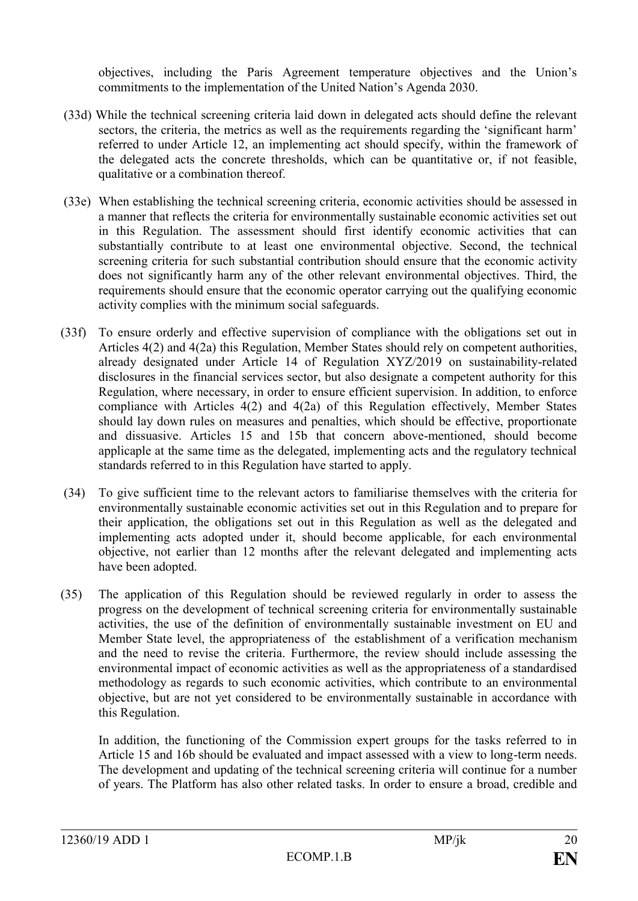objectives, including the Paris Agreement temperature objectives and the Union's commitments to the implementation of the United Nation's Agenda 2030.

- (33d) While the technical screening criteria laid down in delegated acts should define the relevant sectors, the criteria, the metrics as well as the requirements regarding the 'significant harm' referred to under Article 12, an implementing act should specify, within the framework of the delegated acts the concrete thresholds, which can be quantitative or, if not feasible, qualitative or a combination thereof.
- (33e) When establishing the technical screening criteria, economic activities should be assessed in a manner that reflects the criteria for environmentally sustainable economic activities set out in this Regulation. The assessment should first identify economic activities that can substantially contribute to at least one environmental objective. Second, the technical screening criteria for such substantial contribution should ensure that the economic activity does not significantly harm any of the other relevant environmental objectives. Third, the requirements should ensure that the economic operator carrying out the qualifying economic activity complies with the minimum social safeguards.
- (33f) To ensure orderly and effective supervision of compliance with the obligations set out in Articles 4(2) and 4(2a) this Regulation, Member States should rely on competent authorities, already designated under Article 14 of Regulation XYZ/2019 on sustainability-related disclosures in the financial services sector, but also designate a competent authority for this Regulation, where necessary, in order to ensure efficient supervision. In addition, to enforce compliance with Articles 4(2) and 4(2a) of this Regulation effectively, Member States should lay down rules on measures and penalties, which should be effective, proportionate and dissuasive. Articles 15 and 15b that concern above-mentioned, should become applicaple at the same time as the delegated, implementing acts and the regulatory technical standards referred to in this Regulation have started to apply.
- (34) To give sufficient time to the relevant actors to familiarise themselves with the criteria for environmentally sustainable economic activities set out in this Regulation and to prepare for their application, the obligations set out in this Regulation as well as the delegated and implementing acts adopted under it, should become applicable, for each environmental objective, not earlier than 12 months after the relevant delegated and implementing acts have been adopted.
- (35) The application of this Regulation should be reviewed regularly in order to assess the progress on the development of technical screening criteria for environmentally sustainable activities, the use of the definition of environmentally sustainable investment on EU and Member State level, the appropriateness of the establishment of a verification mechanism and the need to revise the criteria. Furthermore, the review should include assessing the environmental impact of economic activities as well as the appropriateness of a standardised methodology as regards to such economic activities, which contribute to an environmental objective, but are not yet considered to be environmentally sustainable in accordance with this Regulation.

In addition, the functioning of the Commission expert groups for the tasks referred to in Article 15 and 16b should be evaluated and impact assessed with a view to long-term needs. The development and updating of the technical screening criteria will continue for a number of years. The Platform has also other related tasks. In order to ensure a broad, credible and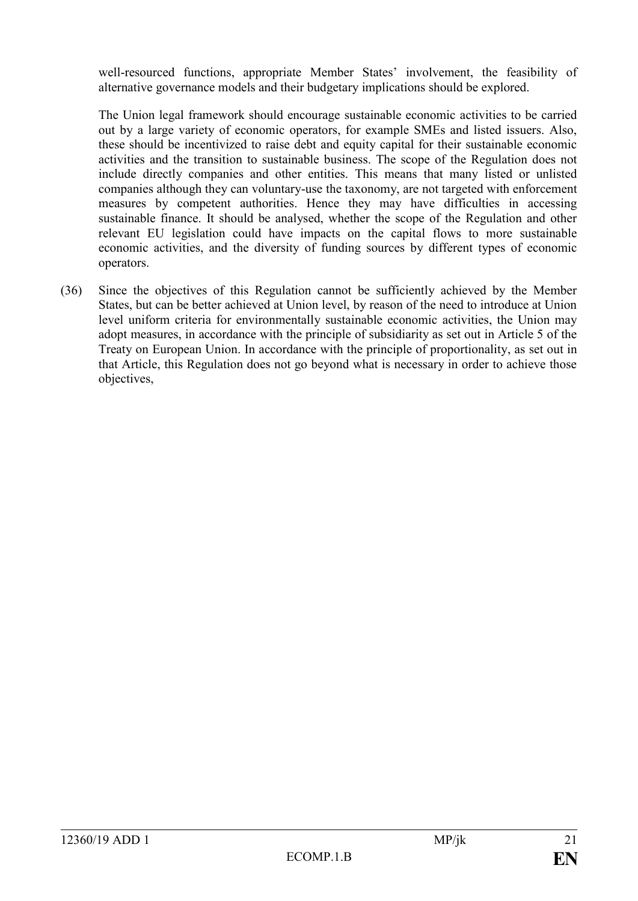well-resourced functions, appropriate Member States' involvement, the feasibility of alternative governance models and their budgetary implications should be explored.

The Union legal framework should encourage sustainable economic activities to be carried out by a large variety of economic operators, for example SMEs and listed issuers. Also, these should be incentivized to raise debt and equity capital for their sustainable economic activities and the transition to sustainable business. The scope of the Regulation does not include directly companies and other entities. This means that many listed or unlisted companies although they can voluntary-use the taxonomy, are not targeted with enforcement measures by competent authorities. Hence they may have difficulties in accessing sustainable finance. It should be analysed, whether the scope of the Regulation and other relevant EU legislation could have impacts on the capital flows to more sustainable economic activities, and the diversity of funding sources by different types of economic operators.

(36) Since the objectives of this Regulation cannot be sufficiently achieved by the Member States, but can be better achieved at Union level, by reason of the need to introduce at Union level uniform criteria for environmentally sustainable economic activities, the Union may adopt measures, in accordance with the principle of subsidiarity as set out in Article 5 of the Treaty on European Union. In accordance with the principle of proportionality, as set out in that Article, this Regulation does not go beyond what is necessary in order to achieve those objectives,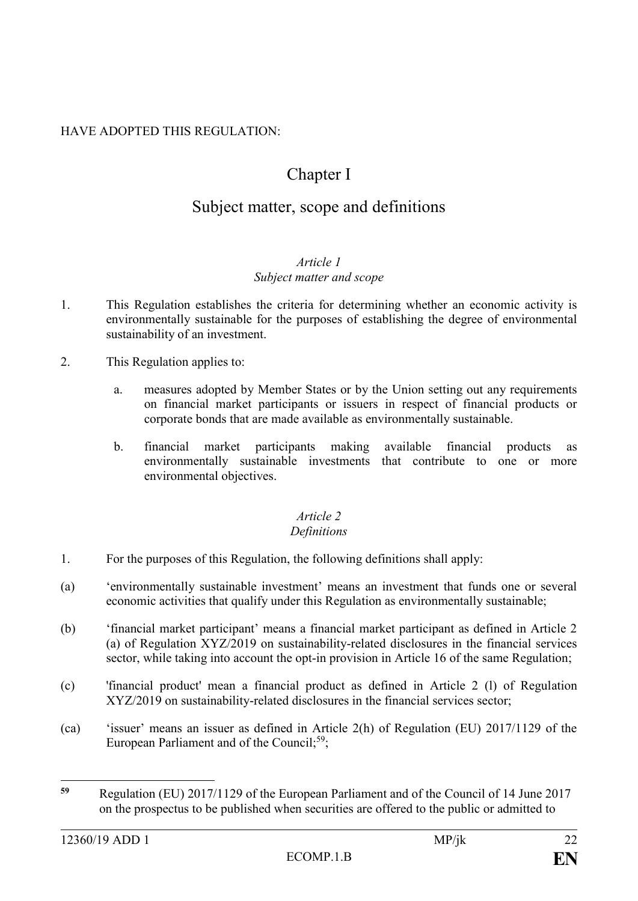# HAVE ADOPTED THIS REGULATION:

# Chapter I

# Subject matter, scope and definitions

#### *Article 1 Subject matter and scope*

- 1. This Regulation establishes the criteria for determining whether an economic activity is environmentally sustainable for the purposes of establishing the degree of environmental sustainability of an investment.
- 2. This Regulation applies to:
	- a. measures adopted by Member States or by the Union setting out any requirements on financial market participants or issuers in respect of financial products or corporate bonds that are made available as environmentally sustainable.
	- b. financial market participants making available financial products as environmentally sustainable investments that contribute to one or more environmental objectives.

## *Article 2*

## *Definitions*

- 1. For the purposes of this Regulation, the following definitions shall apply:
- (a) 'environmentally sustainable investment' means an investment that funds one or several economic activities that qualify under this Regulation as environmentally sustainable;
- (b) 'financial market participant' means a financial market participant as defined in Article 2 (a) of Regulation XYZ/2019 on sustainability-related disclosures in the financial services sector, while taking into account the opt-in provision in Article 16 of the same Regulation;
- (c) 'financial product' mean a financial product as defined in Article 2 (l) of Regulation XYZ/2019 on sustainability-related disclosures in the financial services sector;
- (ca) 'issuer' means an issuer as defined in Article 2(h) of Regulation (EU) 2017/1129 of the European Parliament and of the Council;<sup>59</sup>;

 $\overline{a}$ 

**<sup>59</sup>** Regulation (EU) 2017/1129 of the European Parliament and of the Council of 14 June 2017 on the prospectus to be published when securities are offered to the public or admitted to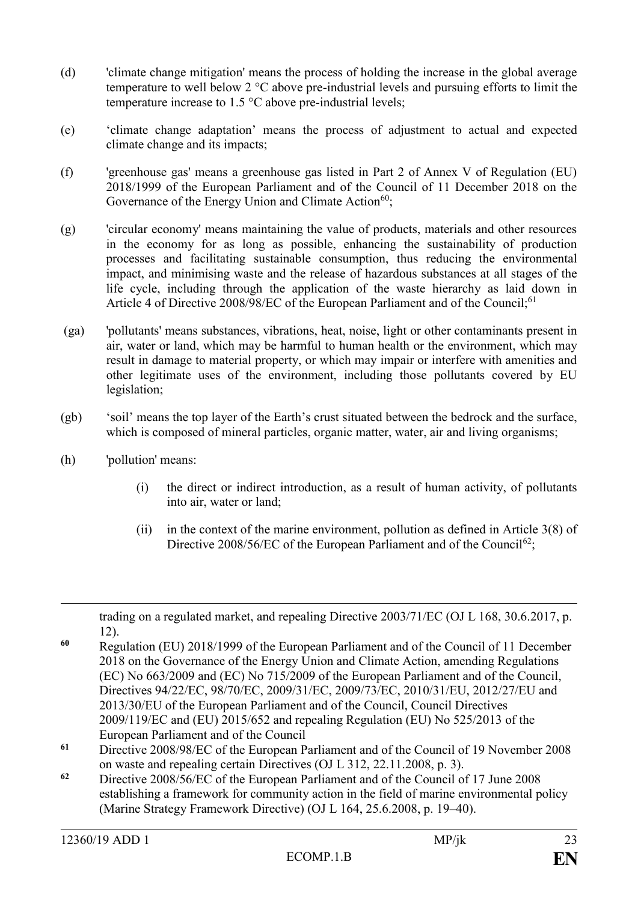- (d) 'climate change mitigation' means the process of holding the increase in the global average temperature to well below 2 °C above pre-industrial levels and pursuing efforts to limit the temperature increase to 1.5 °C above pre-industrial levels;
- (e) 'climate change adaptation' means the process of adjustment to actual and expected climate change and its impacts;
- (f) 'greenhouse gas' means a greenhouse gas listed in Part 2 of Annex V of Regulation (EU) 2018/1999 of the European Parliament and of the Council of 11 December 2018 on the Governance of the Energy Union and Climate Action<sup>60</sup>:
- (g) 'circular economy' means maintaining the value of products, materials and other resources in the economy for as long as possible, enhancing the sustainability of production processes and facilitating sustainable consumption, thus reducing the environmental impact, and minimising waste and the release of hazardous substances at all stages of the life cycle, including through the application of the waste hierarchy as laid down in Article 4 of Directive 2008/98/EC of the European Parliament and of the Council;<sup>61</sup>
- (ga) 'pollutants' means substances, vibrations, heat, noise, light or other contaminants present in air, water or land, which may be harmful to human health or the environment, which may result in damage to material property, or which may impair or interfere with amenities and other legitimate uses of the environment, including those pollutants covered by EU legislation;
- (gb) 'soil' means the top layer of the Earth's crust situated between the bedrock and the surface, which is composed of mineral particles, organic matter, water, air and living organisms;
- (h) 'pollution' means:
	- (i) the direct or indirect introduction, as a result of human activity, of pollutants into air, water or land;
	- (ii) in the context of the marine environment, pollution as defined in Article 3(8) of Directive 2008/56/EC of the European Parliament and of the Council<sup>62</sup>;

**<sup>62</sup>** Directive 2008/56/EC of the European Parliament and of the Council of 17 June 2008 establishing a framework for community action in the field of marine environmental policy (Marine Strategy Framework Directive) (OJ L 164, 25.6.2008, p. 19–40).

 $\overline{a}$ 

trading on a regulated market, and repealing Directive 2003/71/EC (OJ L 168, 30.6.2017, p. 12).

**<sup>60</sup>** Regulation (EU) 2018/1999 of the European Parliament and of the Council of 11 December 2018 on the Governance of the Energy Union and Climate Action, amending Regulations (EC) No 663/2009 and (EC) No 715/2009 of the European Parliament and of the Council, Directives 94/22/EC, 98/70/EC, 2009/31/EC, 2009/73/EC, 2010/31/EU, 2012/27/EU and 2013/30/EU of the European Parliament and of the Council, Council Directives 2009/119/EC and (EU) 2015/652 and repealing Regulation (EU) No 525/2013 of the European Parliament and of the Council

**<sup>61</sup>** Directive 2008/98/EC of the European Parliament and of the Council of 19 November 2008 on waste and repealing certain Directives (OJ L 312, 22.11.2008, p. 3).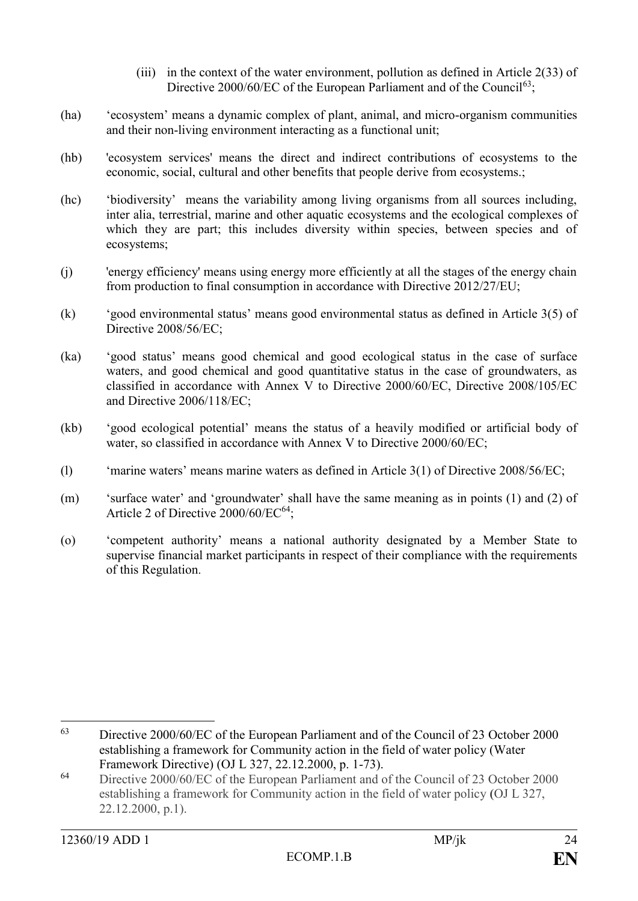- (iii) in the context of the water environment, pollution as defined in Article 2(33) of Directive 2000/60/EC of the European Parliament and of the Council<sup>63</sup>;
- (ha) 'ecosystem' means a dynamic complex of plant, animal, and micro-organism communities and their non-living environment interacting as a functional unit;
- (hb) 'ecosystem services' means the direct and indirect contributions of ecosystems to the economic, social, cultural and other benefits that people derive from ecosystems.;
- (hc) 'biodiversity' means the variability among living organisms from all sources including, inter alia, terrestrial, marine and other aquatic ecosystems and the ecological complexes of which they are part; this includes diversity within species, between species and of ecosystems;
- (j) 'energy efficiency' means using energy more efficiently at all the stages of the energy chain from production to final consumption in accordance with Directive 2012/27/EU;
- (k) 'good environmental status' means good environmental status as defined in Article 3(5) of Directive 2008/56/EC;
- (ka) 'good status' means good chemical and good ecological status in the case of surface waters, and good chemical and good quantitative status in the case of groundwaters, as classified in accordance with Annex V to Directive 2000/60/EC, Directive 2008/105/EC and Directive 2006/118/EC;
- (kb) 'good ecological potential' means the status of a heavily modified or artificial body of water, so classified in accordance with Annex V to Directive 2000/60/EC;
- (l) 'marine waters' means marine waters as defined in Article 3(1) of Directive 2008/56/EC;
- (m) 'surface water' and 'groundwater' shall have the same meaning as in points (1) and (2) of Article 2 of Directive  $2000/60$ /EC<sup>64</sup>;
- (o) 'competent authority' means a national authority designated by a Member State to supervise financial market participants in respect of their compliance with the requirements of this Regulation.

<sup>63</sup> <sup>63</sup> Directive 2000/60/EC of the European Parliament and of the Council of 23 October 2000 establishing a framework for Community action in the field of water policy (Water Framework Directive) (OJ L 327, 22.12.2000, p. 1-73).

<sup>64</sup> Directive 2000/60/EC of the European Parliament and of the Council of 23 October 2000 establishing a framework for Community action in the field of water policy **(**OJ L 327, 22.12.2000, p.1).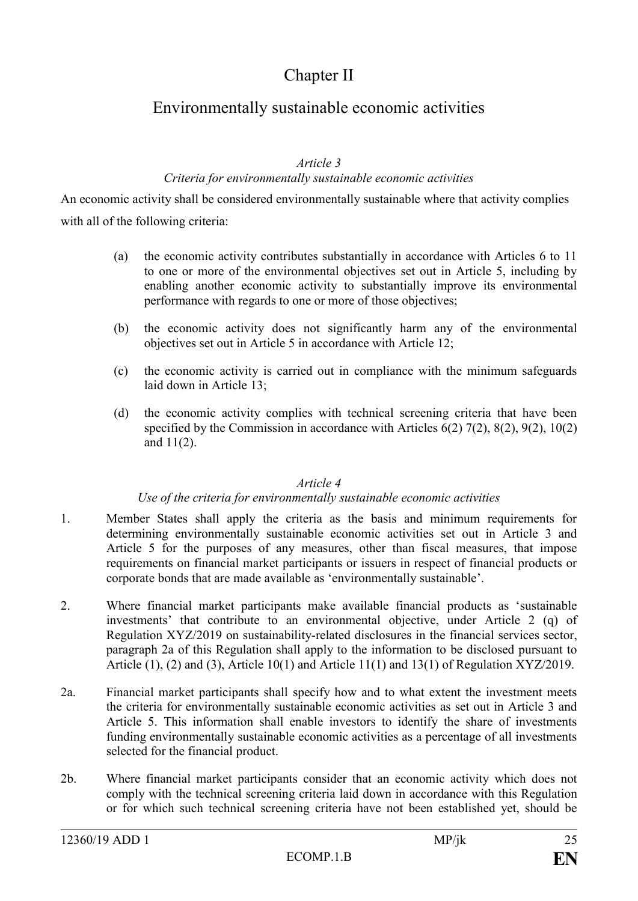# Chapter II

# Environmentally sustainable economic activities

### *Article 3*

#### *Criteria for environmentally sustainable economic activities*

An economic activity shall be considered environmentally sustainable where that activity complies with all of the following criteria:

- (a) the economic activity contributes substantially in accordance with Articles 6 to 11 to one or more of the environmental objectives set out in Article 5, including by enabling another economic activity to substantially improve its environmental performance with regards to one or more of those objectives;
- (b) the economic activity does not significantly harm any of the environmental objectives set out in Article 5 in accordance with Article 12;
- (c) the economic activity is carried out in compliance with the minimum safeguards laid down in Article 13;
- (d) the economic activity complies with technical screening criteria that have been specified by the Commission in accordance with Articles 6(2) 7(2), 8(2), 9(2), 10(2) and 11(2).

#### *Article 4*

#### *Use of the criteria for environmentally sustainable economic activities*

- 1. Member States shall apply the criteria as the basis and minimum requirements for determining environmentally sustainable economic activities set out in Article 3 and Article 5 for the purposes of any measures, other than fiscal measures, that impose requirements on financial market participants or issuers in respect of financial products or corporate bonds that are made available as 'environmentally sustainable'.
- 2. Where financial market participants make available financial products as 'sustainable investments' that contribute to an environmental objective, under Article 2 (q) of Regulation XYZ/2019 on sustainability-related disclosures in the financial services sector, paragraph 2a of this Regulation shall apply to the information to be disclosed pursuant to Article  $(1)$ ,  $(2)$  and  $(3)$ , Article 10 $(1)$  and Article 11 $(1)$  and 13 $(1)$  of Regulation XYZ/2019.
- 2a. Financial market participants shall specify how and to what extent the investment meets the criteria for environmentally sustainable economic activities as set out in Article 3 and Article 5. This information shall enable investors to identify the share of investments funding environmentally sustainable economic activities as a percentage of all investments selected for the financial product.
- 2b. Where financial market participants consider that an economic activity which does not comply with the technical screening criteria laid down in accordance with this Regulation or for which such technical screening criteria have not been established yet, should be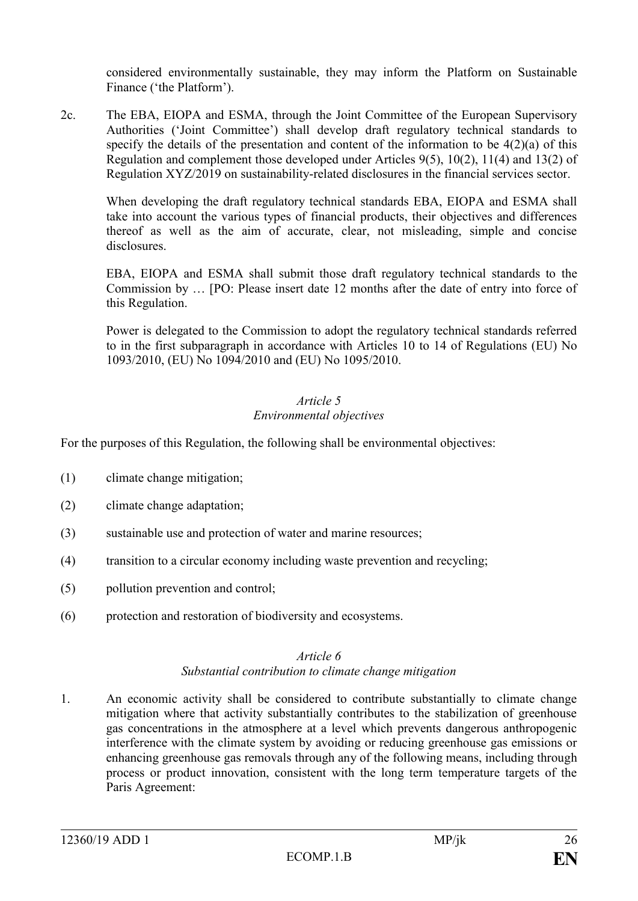considered environmentally sustainable, they may inform the Platform on Sustainable Finance ('the Platform').

2c. The EBA, EIOPA and ESMA, through the Joint Committee of the European Supervisory Authorities ('Joint Committee') shall develop draft regulatory technical standards to specify the details of the presentation and content of the information to be 4(2)(a) of this Regulation and complement those developed under Articles 9(5), 10(2), 11(4) and 13(2) of Regulation XYZ/2019 on sustainability-related disclosures in the financial services sector.

When developing the draft regulatory technical standards EBA, EIOPA and ESMA shall take into account the various types of financial products, their objectives and differences thereof as well as the aim of accurate, clear, not misleading, simple and concise disclosures.

EBA, EIOPA and ESMA shall submit those draft regulatory technical standards to the Commission by … [PO: Please insert date 12 months after the date of entry into force of this Regulation.

Power is delegated to the Commission to adopt the regulatory technical standards referred to in the first subparagraph in accordance with Articles 10 to 14 of Regulations (EU) No 1093/2010, (EU) No 1094/2010 and (EU) No 1095/2010.

## *Article 5 Environmental objectives*

For the purposes of this Regulation, the following shall be environmental objectives:

- (1) climate change mitigation;
- (2) climate change adaptation;
- (3) sustainable use and protection of water and marine resources;
- (4) transition to a circular economy including waste prevention and recycling;
- (5) pollution prevention and control;
- (6) protection and restoration of biodiversity and ecosystems.

#### *Article 6 Substantial contribution to climate change mitigation*

1. An economic activity shall be considered to contribute substantially to climate change mitigation where that activity substantially contributes to the stabilization of greenhouse gas concentrations in the atmosphere at a level which prevents dangerous anthropogenic interference with the climate system by avoiding or reducing greenhouse gas emissions or enhancing greenhouse gas removals through any of the following means, including through process or product innovation, consistent with the long term temperature targets of the Paris Agreement: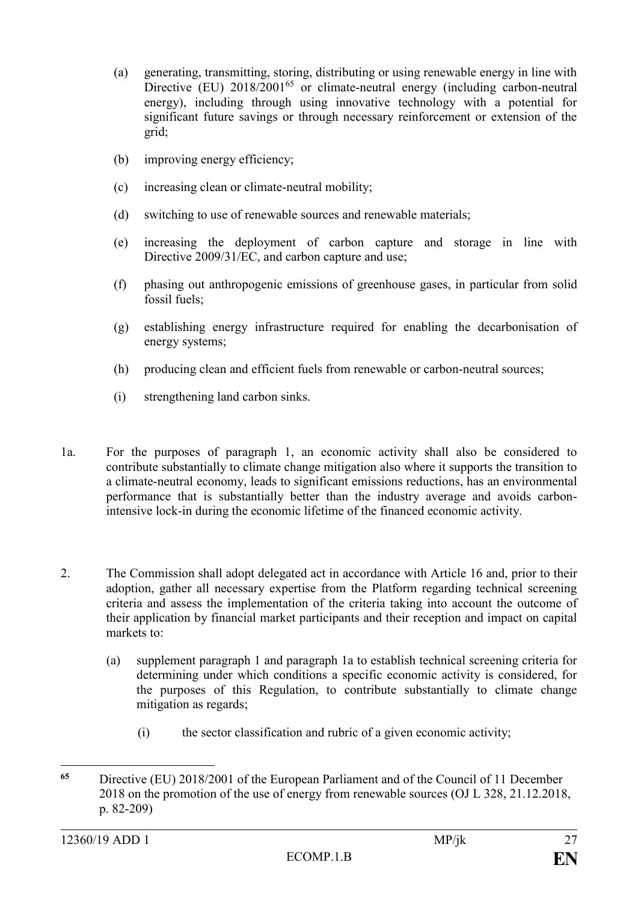- (a) generating, transmitting, storing, distributing or using renewable energy in line with Directive (EU)  $2018/2001^{65}$  or climate-neutral energy (including carbon-neutral energy), including through using innovative technology with a potential for significant future savings or through necessary reinforcement or extension of the grid;
- (b) improving energy efficiency;
- (c) increasing clean or climate-neutral mobility;
- (d) switching to use of renewable sources and renewable materials;
- (e) increasing the deployment of carbon capture and storage in line with Directive 2009/31/EC, and carbon capture and use;
- (f) phasing out anthropogenic emissions of greenhouse gases, in particular from solid fossil fuels;
- (g) establishing energy infrastructure required for enabling the decarbonisation of energy systems;
- (h) producing clean and efficient fuels from renewable or carbon-neutral sources;
- (i) strengthening land carbon sinks.
- 1a. For the purposes of paragraph 1, an economic activity shall also be considered to contribute substantially to climate change mitigation also where it supports the transition to a climate-neutral economy, leads to significant emissions reductions, has an environmental performance that is substantially better than the industry average and avoids carbonintensive lock-in during the economic lifetime of the financed economic activity.
- 2. The Commission shall adopt delegated act in accordance with Article 16 and, prior to their adoption, gather all necessary expertise from the Platform regarding technical screening criteria and assess the implementation of the criteria taking into account the outcome of their application by financial market participants and their reception and impact on capital markets to:
	- (a) supplement paragraph 1 and paragraph 1a to establish technical screening criteria for determining under which conditions a specific economic activity is considered, for the purposes of this Regulation, to contribute substantially to climate change mitigation as regards;
		- (i) the sector classification and rubric of a given economic activity;

<sup>65</sup> **<sup>65</sup>** Directive (EU) 2018/2001 of the European Parliament and of the Council of 11 December 2018 on the promotion of the use of energy from renewable sources (OJ L 328, 21.12.2018, p. 82-209)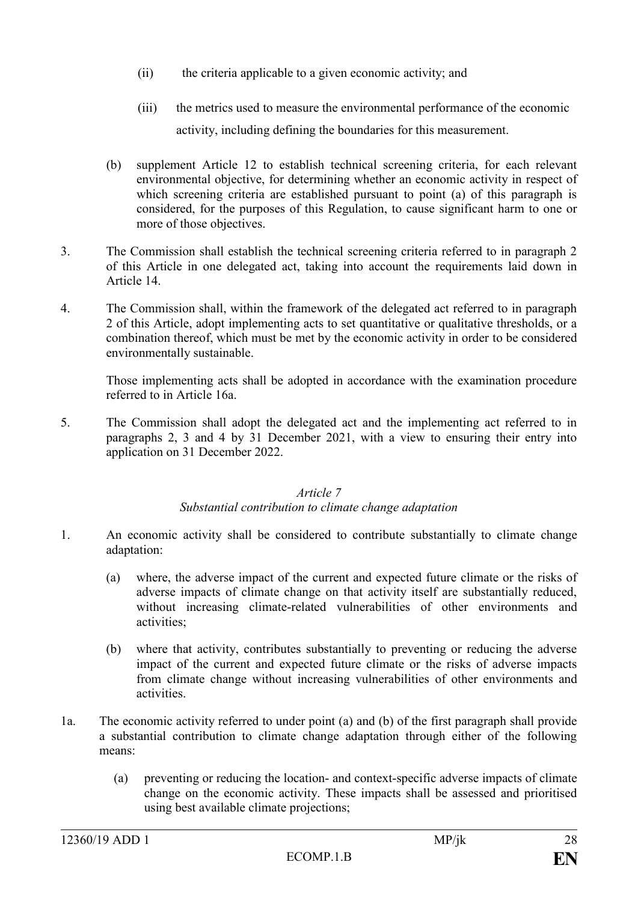- (ii) the criteria applicable to a given economic activity; and
- (iii) the metrics used to measure the environmental performance of the economic activity, including defining the boundaries for this measurement.
- (b) supplement Article 12 to establish technical screening criteria, for each relevant environmental objective, for determining whether an economic activity in respect of which screening criteria are established pursuant to point (a) of this paragraph is considered, for the purposes of this Regulation, to cause significant harm to one or more of those objectives.
- 3. The Commission shall establish the technical screening criteria referred to in paragraph 2 of this Article in one delegated act, taking into account the requirements laid down in Article 14.
- 4. The Commission shall, within the framework of the delegated act referred to in paragraph 2 of this Article, adopt implementing acts to set quantitative or qualitative thresholds, or a combination thereof, which must be met by the economic activity in order to be considered environmentally sustainable.

Those implementing acts shall be adopted in accordance with the examination procedure referred to in Article 16a.

5. The Commission shall adopt the delegated act and the implementing act referred to in paragraphs 2, 3 and 4 by 31 December 2021, with a view to ensuring their entry into application on 31 December 2022.

#### *Article 7 Substantial contribution to climate change adaptation*

- 1. An economic activity shall be considered to contribute substantially to climate change adaptation:
	- (a) where, the adverse impact of the current and expected future climate or the risks of adverse impacts of climate change on that activity itself are substantially reduced, without increasing climate-related vulnerabilities of other environments and activities;
	- (b) where that activity, contributes substantially to preventing or reducing the adverse impact of the current and expected future climate or the risks of adverse impacts from climate change without increasing vulnerabilities of other environments and activities.
- 1a. The economic activity referred to under point (a) and (b) of the first paragraph shall provide a substantial contribution to climate change adaptation through either of the following means:
	- (a) preventing or reducing the location- and context-specific adverse impacts of climate change on the economic activity. These impacts shall be assessed and prioritised using best available climate projections;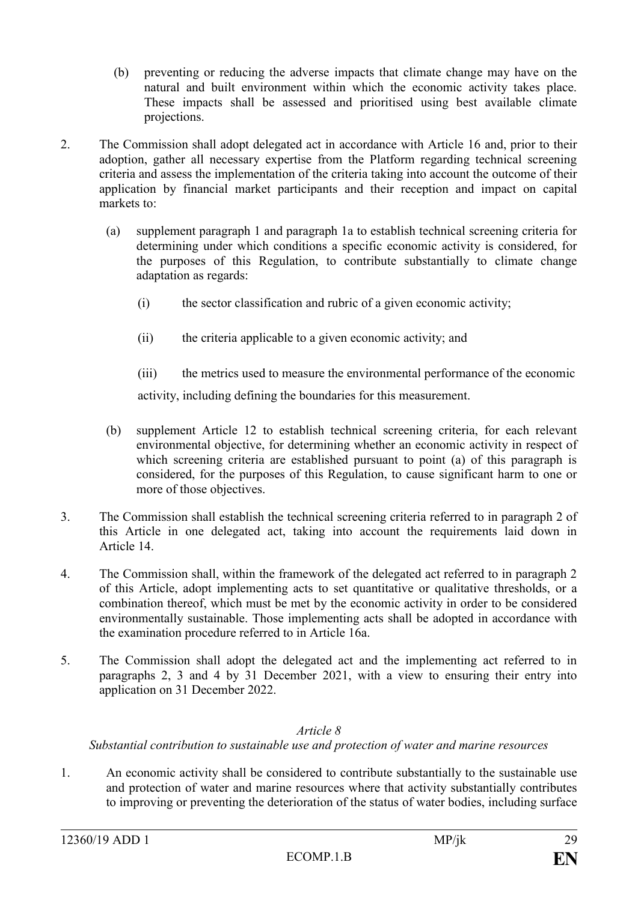- (b) preventing or reducing the adverse impacts that climate change may have on the natural and built environment within which the economic activity takes place. These impacts shall be assessed and prioritised using best available climate projections.
- 2. The Commission shall adopt delegated act in accordance with Article 16 and, prior to their adoption, gather all necessary expertise from the Platform regarding technical screening criteria and assess the implementation of the criteria taking into account the outcome of their application by financial market participants and their reception and impact on capital markets to:
	- (a) supplement paragraph 1 and paragraph 1a to establish technical screening criteria for determining under which conditions a specific economic activity is considered, for the purposes of this Regulation, to contribute substantially to climate change adaptation as regards:
		- (i) the sector classification and rubric of a given economic activity;
		- (ii) the criteria applicable to a given economic activity; and

(iii) the metrics used to measure the environmental performance of the economic activity, including defining the boundaries for this measurement.

- (b) supplement Article 12 to establish technical screening criteria, for each relevant environmental objective, for determining whether an economic activity in respect of which screening criteria are established pursuant to point (a) of this paragraph is considered, for the purposes of this Regulation, to cause significant harm to one or more of those objectives.
- 3. The Commission shall establish the technical screening criteria referred to in paragraph 2 of this Article in one delegated act, taking into account the requirements laid down in Article 14.
- 4. The Commission shall, within the framework of the delegated act referred to in paragraph 2 of this Article, adopt implementing acts to set quantitative or qualitative thresholds, or a combination thereof, which must be met by the economic activity in order to be considered environmentally sustainable. Those implementing acts shall be adopted in accordance with the examination procedure referred to in Article 16a.
- 5. The Commission shall adopt the delegated act and the implementing act referred to in paragraphs 2, 3 and 4 by 31 December 2021, with a view to ensuring their entry into application on 31 December 2022.

## *Article 8*

*Substantial contribution to sustainable use and protection of water and marine resources*

1. An economic activity shall be considered to contribute substantially to the sustainable use and protection of water and marine resources where that activity substantially contributes to improving or preventing the deterioration of the status of water bodies, including surface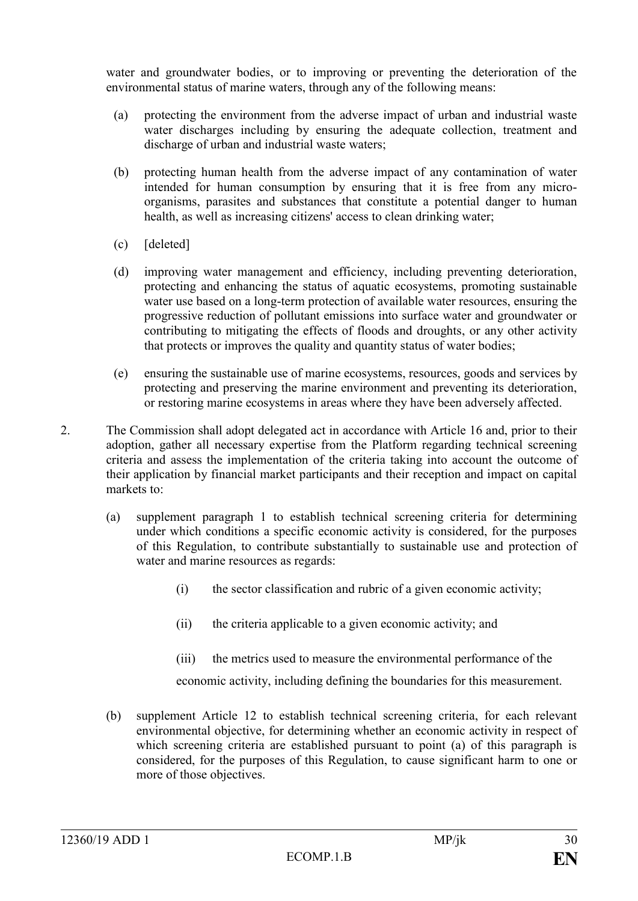water and groundwater bodies, or to improving or preventing the deterioration of the environmental status of marine waters, through any of the following means:

- (a) protecting the environment from the adverse impact of urban and industrial waste water discharges including by ensuring the adequate collection, treatment and discharge of urban and industrial waste waters;
- (b) protecting human health from the adverse impact of any contamination of water intended for human consumption by ensuring that it is free from any microorganisms, parasites and substances that constitute a potential danger to human health, as well as increasing citizens' access to clean drinking water;
- (c) [deleted]
- (d) improving water management and efficiency, including preventing deterioration, protecting and enhancing the status of aquatic ecosystems, promoting sustainable water use based on a long-term protection of available water resources, ensuring the progressive reduction of pollutant emissions into surface water and groundwater or contributing to mitigating the effects of floods and droughts, or any other activity that protects or improves the quality and quantity status of water bodies;
- (e) ensuring the sustainable use of marine ecosystems, resources, goods and services by protecting and preserving the marine environment and preventing its deterioration, or restoring marine ecosystems in areas where they have been adversely affected.
- 2. The Commission shall adopt delegated act in accordance with Article 16 and, prior to their adoption, gather all necessary expertise from the Platform regarding technical screening criteria and assess the implementation of the criteria taking into account the outcome of their application by financial market participants and their reception and impact on capital markets to:
	- (a) supplement paragraph 1 to establish technical screening criteria for determining under which conditions a specific economic activity is considered, for the purposes of this Regulation, to contribute substantially to sustainable use and protection of water and marine resources as regards:
		- (i) the sector classification and rubric of a given economic activity;
		- (ii) the criteria applicable to a given economic activity; and
		- (iii) the metrics used to measure the environmental performance of the

economic activity, including defining the boundaries for this measurement.

(b) supplement Article 12 to establish technical screening criteria, for each relevant environmental objective, for determining whether an economic activity in respect of which screening criteria are established pursuant to point (a) of this paragraph is considered, for the purposes of this Regulation, to cause significant harm to one or more of those objectives.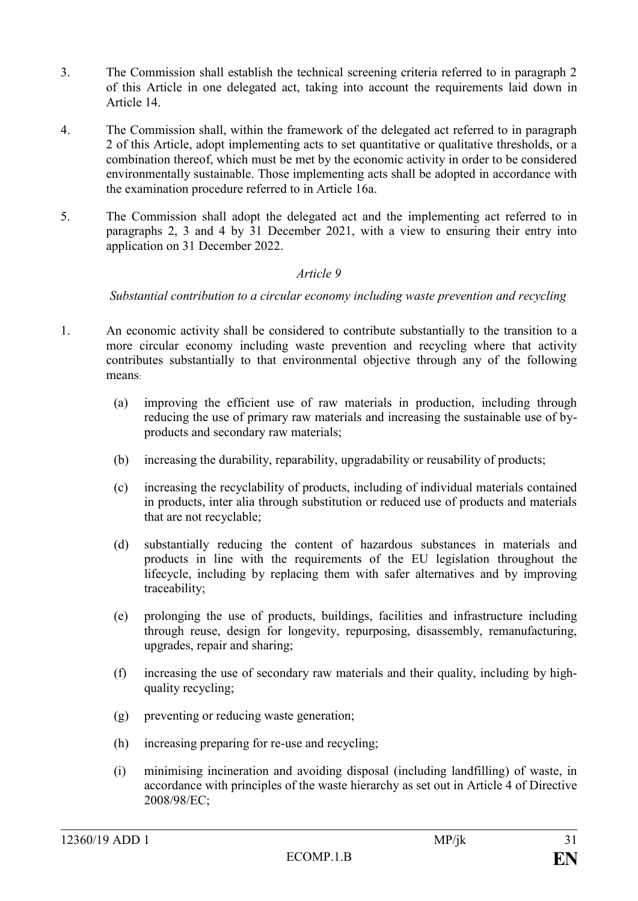- 3. The Commission shall establish the technical screening criteria referred to in paragraph 2 of this Article in one delegated act, taking into account the requirements laid down in Article 14.
- 4. The Commission shall, within the framework of the delegated act referred to in paragraph 2 of this Article, adopt implementing acts to set quantitative or qualitative thresholds, or a combination thereof, which must be met by the economic activity in order to be considered environmentally sustainable. Those implementing acts shall be adopted in accordance with the examination procedure referred to in Article 16a.
- 5. The Commission shall adopt the delegated act and the implementing act referred to in paragraphs 2, 3 and 4 by 31 December 2021, with a view to ensuring their entry into application on 31 December 2022.

#### *Article 9*

*Substantial contribution to a circular economy including waste prevention and recycling*

- 1. An economic activity shall be considered to contribute substantially to the transition to a more circular economy including waste prevention and recycling where that activity contributes substantially to that environmental objective through any of the following means:
	- (a) improving the efficient use of raw materials in production, including through reducing the use of primary raw materials and increasing the sustainable use of byproducts and secondary raw materials;
	- (b) increasing the durability, reparability, upgradability or reusability of products;
	- (c) increasing the recyclability of products, including of individual materials contained in products, inter alia through substitution or reduced use of products and materials that are not recyclable;
	- (d) substantially reducing the content of hazardous substances in materials and products in line with the requirements of the EU legislation throughout the lifecycle, including by replacing them with safer alternatives and by improving traceability;
	- (e) prolonging the use of products, buildings, facilities and infrastructure including through reuse, design for longevity, repurposing, disassembly, remanufacturing, upgrades, repair and sharing;
	- (f) increasing the use of secondary raw materials and their quality, including by highquality recycling;
	- (g) preventing or reducing waste generation;
	- (h) increasing preparing for re-use and recycling;
	- (i) minimising incineration and avoiding disposal (including landfilling) of waste, in accordance with principles of the waste hierarchy as set out in Article 4 of Directive 2008/98/EC;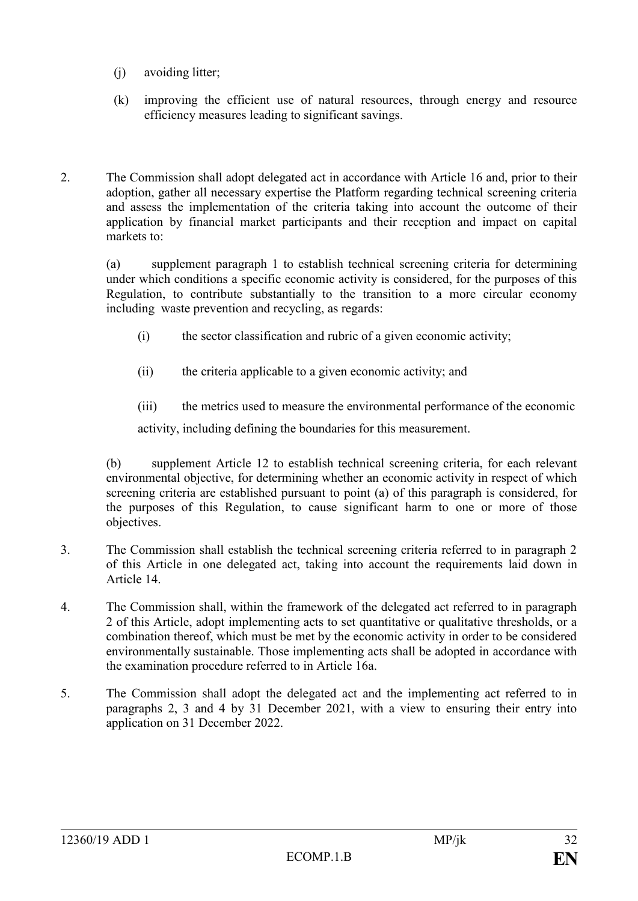- (j) avoiding litter;
- (k) improving the efficient use of natural resources, through energy and resource efficiency measures leading to significant savings.
- 2. The Commission shall adopt delegated act in accordance with Article 16 and, prior to their adoption, gather all necessary expertise the Platform regarding technical screening criteria and assess the implementation of the criteria taking into account the outcome of their application by financial market participants and their reception and impact on capital markets to:

(a) supplement paragraph 1 to establish technical screening criteria for determining under which conditions a specific economic activity is considered, for the purposes of this Regulation, to contribute substantially to the transition to a more circular economy including waste prevention and recycling, as regards:

- (i) the sector classification and rubric of a given economic activity;
- (ii) the criteria applicable to a given economic activity; and
- (iii) the metrics used to measure the environmental performance of the economic

activity, including defining the boundaries for this measurement.

(b) supplement Article 12 to establish technical screening criteria, for each relevant environmental objective, for determining whether an economic activity in respect of which screening criteria are established pursuant to point (a) of this paragraph is considered, for the purposes of this Regulation, to cause significant harm to one or more of those objectives.

- 3. The Commission shall establish the technical screening criteria referred to in paragraph 2 of this Article in one delegated act, taking into account the requirements laid down in Article 14.
- 4. The Commission shall, within the framework of the delegated act referred to in paragraph 2 of this Article, adopt implementing acts to set quantitative or qualitative thresholds, or a combination thereof, which must be met by the economic activity in order to be considered environmentally sustainable. Those implementing acts shall be adopted in accordance with the examination procedure referred to in Article 16a.
- 5. The Commission shall adopt the delegated act and the implementing act referred to in paragraphs 2, 3 and 4 by 31 December 2021, with a view to ensuring their entry into application on 31 December 2022.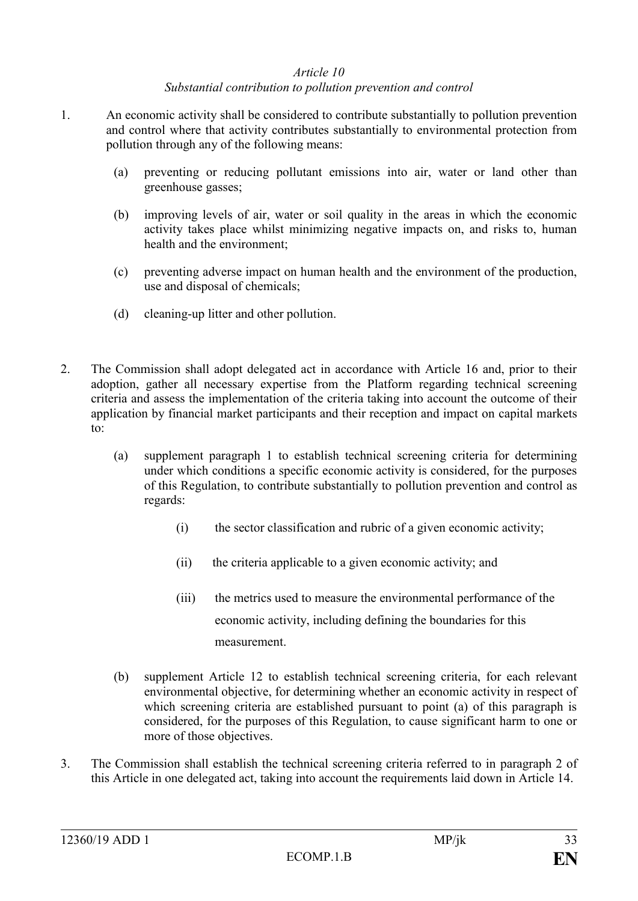#### *Article 10 Substantial contribution to pollution prevention and control*

- 1. An economic activity shall be considered to contribute substantially to pollution prevention and control where that activity contributes substantially to environmental protection from pollution through any of the following means:
	- (a) preventing or reducing pollutant emissions into air, water or land other than greenhouse gasses;
	- (b) improving levels of air, water or soil quality in the areas in which the economic activity takes place whilst minimizing negative impacts on, and risks to, human health and the environment;
	- (c) preventing adverse impact on human health and the environment of the production, use and disposal of chemicals;
	- (d) cleaning-up litter and other pollution.
- 2. The Commission shall adopt delegated act in accordance with Article 16 and, prior to their adoption, gather all necessary expertise from the Platform regarding technical screening criteria and assess the implementation of the criteria taking into account the outcome of their application by financial market participants and their reception and impact on capital markets to:
	- (a) supplement paragraph 1 to establish technical screening criteria for determining under which conditions a specific economic activity is considered, for the purposes of this Regulation, to contribute substantially to pollution prevention and control as regards:
		- (i) the sector classification and rubric of a given economic activity;
		- (ii) the criteria applicable to a given economic activity; and
		- (iii) the metrics used to measure the environmental performance of the economic activity, including defining the boundaries for this measurement.
	- (b) supplement Article 12 to establish technical screening criteria, for each relevant environmental objective, for determining whether an economic activity in respect of which screening criteria are established pursuant to point (a) of this paragraph is considered, for the purposes of this Regulation, to cause significant harm to one or more of those objectives.
- 3. The Commission shall establish the technical screening criteria referred to in paragraph 2 of this Article in one delegated act, taking into account the requirements laid down in Article 14.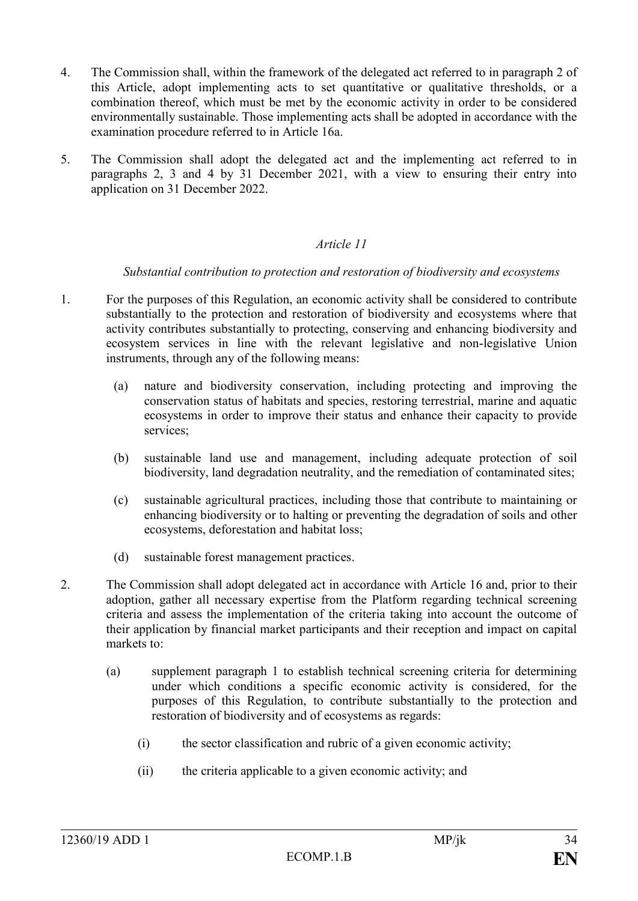- 4. The Commission shall, within the framework of the delegated act referred to in paragraph 2 of this Article, adopt implementing acts to set quantitative or qualitative thresholds, or a combination thereof, which must be met by the economic activity in order to be considered environmentally sustainable. Those implementing acts shall be adopted in accordance with the examination procedure referred to in Article 16a.
- 5. The Commission shall adopt the delegated act and the implementing act referred to in paragraphs 2, 3 and 4 by 31 December 2021, with a view to ensuring their entry into application on 31 December 2022.

## *Article 11*

#### *Substantial contribution to protection and restoration of biodiversity and ecosystems*

- 1. For the purposes of this Regulation, an economic activity shall be considered to contribute substantially to the protection and restoration of biodiversity and ecosystems where that activity contributes substantially to protecting, conserving and enhancing biodiversity and ecosystem services in line with the relevant legislative and non-legislative Union instruments, through any of the following means:
	- (a) nature and biodiversity conservation, including protecting and improving the conservation status of habitats and species, restoring terrestrial, marine and aquatic ecosystems in order to improve their status and enhance their capacity to provide services;
	- (b) sustainable land use and management, including adequate protection of soil biodiversity, land degradation neutrality, and the remediation of contaminated sites;
	- (c) sustainable agricultural practices, including those that contribute to maintaining or enhancing biodiversity or to halting or preventing the degradation of soils and other ecosystems, deforestation and habitat loss;
	- (d) sustainable forest management practices.
- 2. The Commission shall adopt delegated act in accordance with Article 16 and, prior to their adoption, gather all necessary expertise from the Platform regarding technical screening criteria and assess the implementation of the criteria taking into account the outcome of their application by financial market participants and their reception and impact on capital markets to:
	- (a) supplement paragraph 1 to establish technical screening criteria for determining under which conditions a specific economic activity is considered, for the purposes of this Regulation, to contribute substantially to the protection and restoration of biodiversity and of ecosystems as regards:
		- (i) the sector classification and rubric of a given economic activity;
		- (ii) the criteria applicable to a given economic activity; and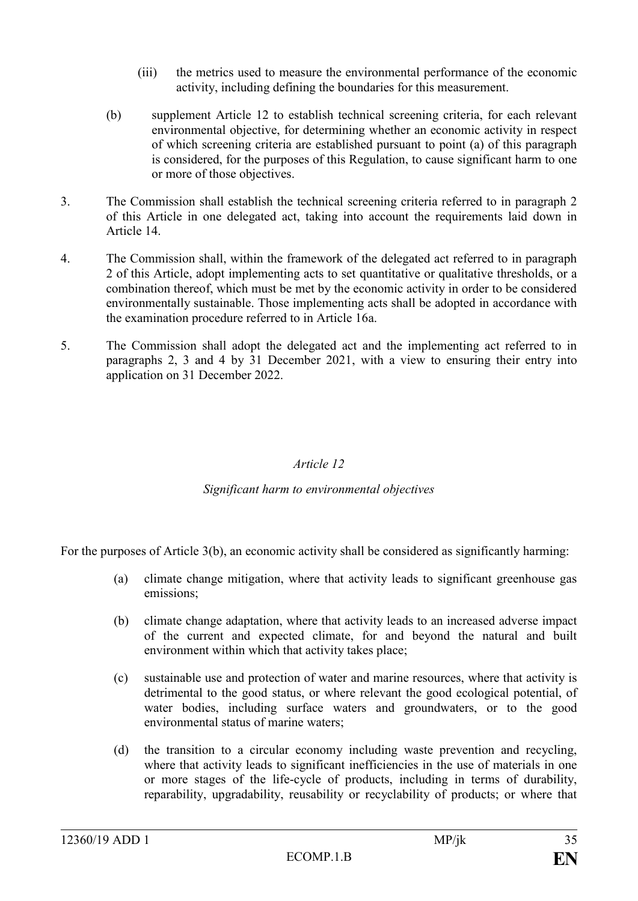- (iii) the metrics used to measure the environmental performance of the economic activity, including defining the boundaries for this measurement.
- (b) supplement Article 12 to establish technical screening criteria, for each relevant environmental objective, for determining whether an economic activity in respect of which screening criteria are established pursuant to point (a) of this paragraph is considered, for the purposes of this Regulation, to cause significant harm to one or more of those objectives.
- 3. The Commission shall establish the technical screening criteria referred to in paragraph 2 of this Article in one delegated act, taking into account the requirements laid down in Article 14.
- 4. The Commission shall, within the framework of the delegated act referred to in paragraph 2 of this Article, adopt implementing acts to set quantitative or qualitative thresholds, or a combination thereof, which must be met by the economic activity in order to be considered environmentally sustainable. Those implementing acts shall be adopted in accordance with the examination procedure referred to in Article 16a.
- 5. The Commission shall adopt the delegated act and the implementing act referred to in paragraphs 2, 3 and 4 by 31 December 2021, with a view to ensuring their entry into application on 31 December 2022.

## *Article 12*

## *Significant harm to environmental objectives*

For the purposes of Article 3(b), an economic activity shall be considered as significantly harming:

- (a) climate change mitigation, where that activity leads to significant greenhouse gas emissions;
- (b) climate change adaptation, where that activity leads to an increased adverse impact of the current and expected climate, for and beyond the natural and built environment within which that activity takes place;
- (c) sustainable use and protection of water and marine resources, where that activity is detrimental to the good status, or where relevant the good ecological potential, of water bodies, including surface waters and groundwaters, or to the good environmental status of marine waters;
- (d) the transition to a circular economy including waste prevention and recycling, where that activity leads to significant inefficiencies in the use of materials in one or more stages of the life-cycle of products, including in terms of durability, reparability, upgradability, reusability or recyclability of products; or where that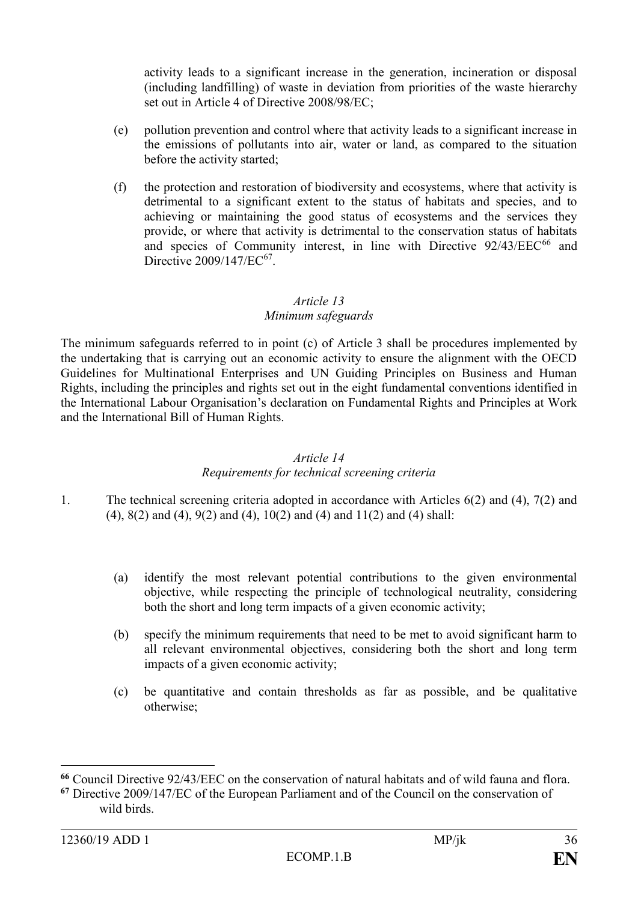activity leads to a significant increase in the generation, incineration or disposal (including landfilling) of waste in deviation from priorities of the waste hierarchy set out in Article 4 of Directive 2008/98/EC;

- (e) pollution prevention and control where that activity leads to a significant increase in the emissions of pollutants into air, water or land, as compared to the situation before the activity started;
- (f) the protection and restoration of biodiversity and ecosystems, where that activity is detrimental to a significant extent to the status of habitats and species, and to achieving or maintaining the good status of ecosystems and the services they provide, or where that activity is detrimental to the conservation status of habitats and species of Community interest, in line with Directive 92/43/EEC<sup>66</sup> and Directive  $2009/147/EC^{67}$ .

# *Article 13*

# *Minimum safeguards*

The minimum safeguards referred to in point (c) of Article 3 shall be procedures implemented by the undertaking that is carrying out an economic activity to ensure the alignment with the OECD Guidelines for Multinational Enterprises and UN Guiding Principles on Business and Human Rights, including the principles and rights set out in the eight fundamental conventions identified in the International Labour Organisation's declaration on Fundamental Rights and Principles at Work and the International Bill of Human Rights.

## *Article 14*

# *Requirements for technical screening criteria*

- 1. The technical screening criteria adopted in accordance with Articles 6(2) and (4), 7(2) and (4), 8(2) and (4), 9(2) and (4), 10(2) and (4) and 11(2) and (4) shall:
	- (a) identify the most relevant potential contributions to the given environmental objective, while respecting the principle of technological neutrality, considering both the short and long term impacts of a given economic activity;
	- (b) specify the minimum requirements that need to be met to avoid significant harm to all relevant environmental objectives, considering both the short and long term impacts of a given economic activity;
	- (c) be quantitative and contain thresholds as far as possible, and be qualitative otherwise;

 $\overline{a}$ 

**<sup>66</sup>** Council Directive 92/43/EEC on the conservation of natural habitats and of wild fauna and flora.

**<sup>67</sup>** Directive 2009/147/EC of the European Parliament and of the Council on the conservation of wild birds.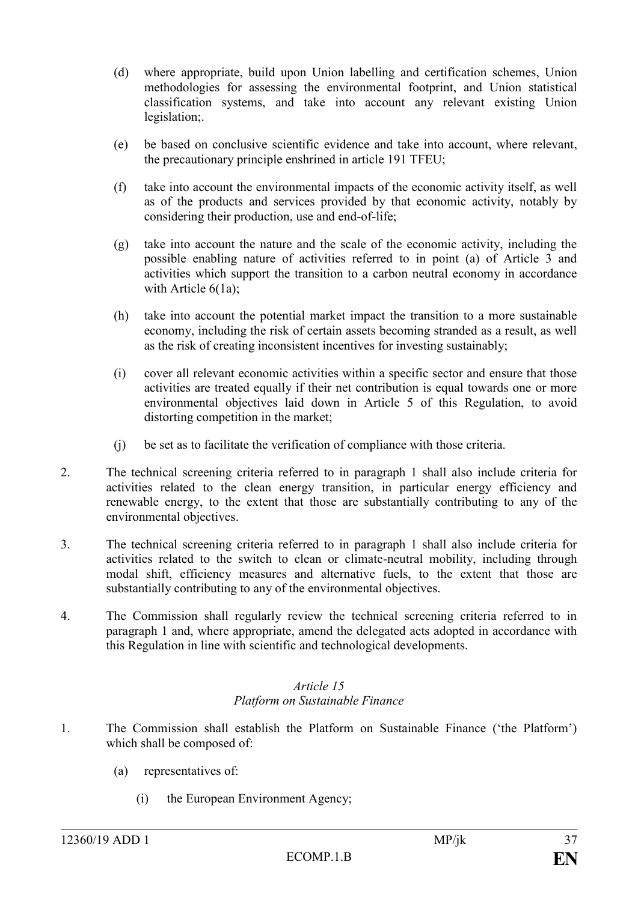- (d) where appropriate, build upon Union labelling and certification schemes, Union methodologies for assessing the environmental footprint, and Union statistical classification systems, and take into account any relevant existing Union legislation;.
- (e) be based on conclusive scientific evidence and take into account, where relevant, the precautionary principle enshrined in article 191 TFEU;
- (f) take into account the environmental impacts of the economic activity itself, as well as of the products and services provided by that economic activity, notably by considering their production, use and end-of-life;
- (g) take into account the nature and the scale of the economic activity, including the possible enabling nature of activities referred to in point (a) of Article 3 and activities which support the transition to a carbon neutral economy in accordance with Article  $6(1a)$ ;
- (h) take into account the potential market impact the transition to a more sustainable economy, including the risk of certain assets becoming stranded as a result, as well as the risk of creating inconsistent incentives for investing sustainably;
- (i) cover all relevant economic activities within a specific sector and ensure that those activities are treated equally if their net contribution is equal towards one or more environmental objectives laid down in Article 5 of this Regulation, to avoid distorting competition in the market;
- (j) be set as to facilitate the verification of compliance with those criteria.
- 2. The technical screening criteria referred to in paragraph 1 shall also include criteria for activities related to the clean energy transition, in particular energy efficiency and renewable energy, to the extent that those are substantially contributing to any of the environmental objectives.
- 3. The technical screening criteria referred to in paragraph 1 shall also include criteria for activities related to the switch to clean or climate-neutral mobility, including through modal shift, efficiency measures and alternative fuels, to the extent that those are substantially contributing to any of the environmental objectives.
- 4. The Commission shall regularly review the technical screening criteria referred to in paragraph 1 and, where appropriate, amend the delegated acts adopted in accordance with this Regulation in line with scientific and technological developments.

#### *Article 15 Platform on Sustainable Finance*

- 1. The Commission shall establish the Platform on Sustainable Finance ('the Platform') which shall be composed of:
	- (a) representatives of:
		- (i) the European Environment Agency;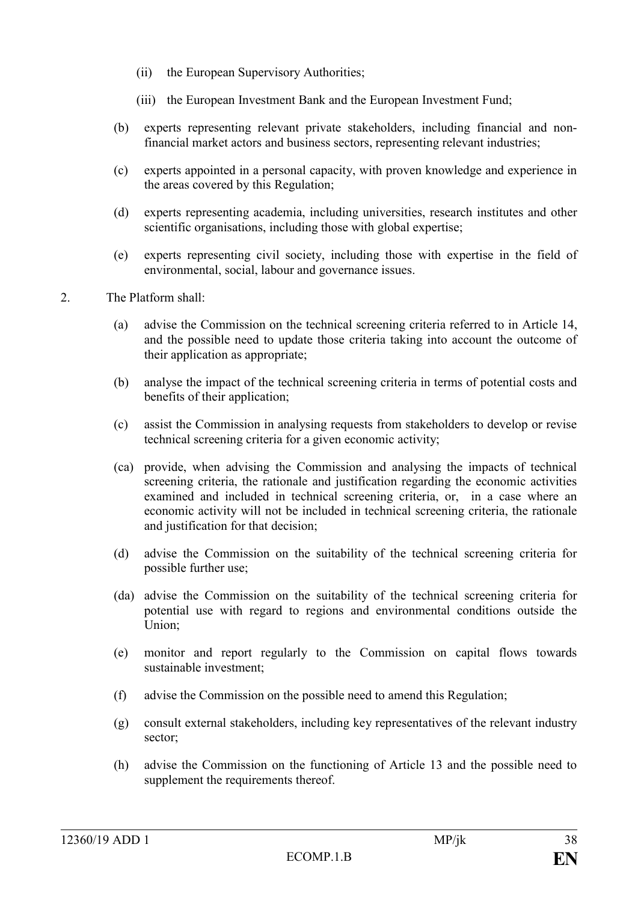- (ii) the European Supervisory Authorities;
- (iii) the European Investment Bank and the European Investment Fund;
- (b) experts representing relevant private stakeholders, including financial and nonfinancial market actors and business sectors, representing relevant industries;
- (c) experts appointed in a personal capacity, with proven knowledge and experience in the areas covered by this Regulation;
- (d) experts representing academia, including universities, research institutes and other scientific organisations, including those with global expertise;
- (e) experts representing civil society, including those with expertise in the field of environmental, social, labour and governance issues.
- 2. The Platform shall:
	- (a) advise the Commission on the technical screening criteria referred to in Article 14, and the possible need to update those criteria taking into account the outcome of their application as appropriate;
	- (b) analyse the impact of the technical screening criteria in terms of potential costs and benefits of their application;
	- (c) assist the Commission in analysing requests from stakeholders to develop or revise technical screening criteria for a given economic activity;
	- (ca) provide, when advising the Commission and analysing the impacts of technical screening criteria, the rationale and justification regarding the economic activities examined and included in technical screening criteria, or, in a case where an economic activity will not be included in technical screening criteria, the rationale and justification for that decision;
	- (d) advise the Commission on the suitability of the technical screening criteria for possible further use;
	- (da) advise the Commission on the suitability of the technical screening criteria for potential use with regard to regions and environmental conditions outside the Union;
	- (e) monitor and report regularly to the Commission on capital flows towards sustainable investment;
	- (f) advise the Commission on the possible need to amend this Regulation;
	- (g) consult external stakeholders, including key representatives of the relevant industry sector;
	- (h) advise the Commission on the functioning of Article 13 and the possible need to supplement the requirements thereof.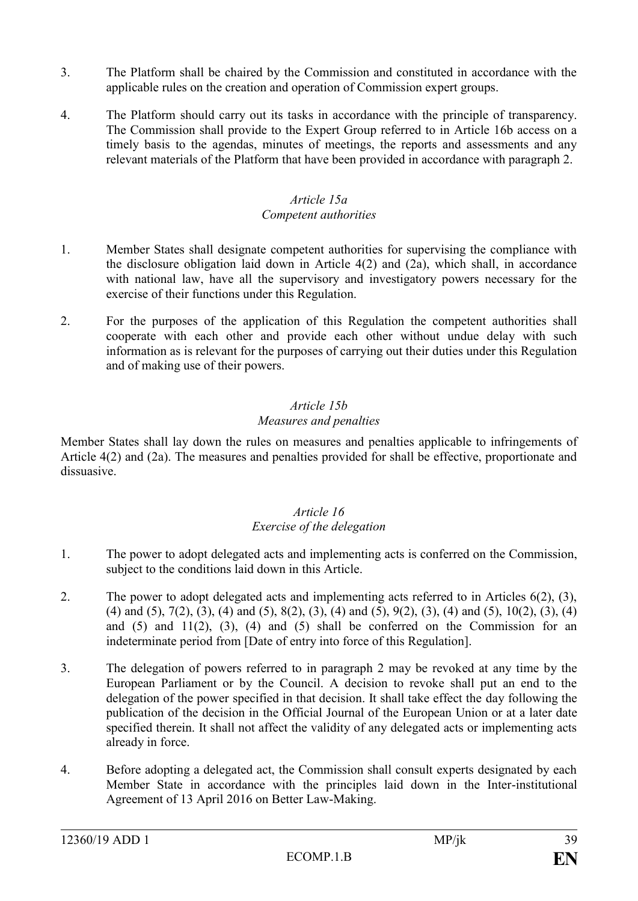- 3. The Platform shall be chaired by the Commission and constituted in accordance with the applicable rules on the creation and operation of Commission expert groups.
- 4. The Platform should carry out its tasks in accordance with the principle of transparency. The Commission shall provide to the Expert Group referred to in Article 16b access on a timely basis to the agendas, minutes of meetings, the reports and assessments and any relevant materials of the Platform that have been provided in accordance with paragraph 2.

# *Article 15a*

## *Competent authorities*

- 1. Member States shall designate competent authorities for supervising the compliance with the disclosure obligation laid down in Article 4(2) and (2a), which shall, in accordance with national law, have all the supervisory and investigatory powers necessary for the exercise of their functions under this Regulation.
- 2. For the purposes of the application of this Regulation the competent authorities shall cooperate with each other and provide each other without undue delay with such information as is relevant for the purposes of carrying out their duties under this Regulation and of making use of their powers.

# *Article 15b*

# *Measures and penalties*

Member States shall lay down the rules on measures and penalties applicable to infringements of Article 4(2) and (2a). The measures and penalties provided for shall be effective, proportionate and dissuasive.

## *Article 16 Exercise of the delegation*

- 1. The power to adopt delegated acts and implementing acts is conferred on the Commission, subject to the conditions laid down in this Article.
- 2. The power to adopt delegated acts and implementing acts referred to in Articles 6(2), (3), (4) and (5), 7(2), (3), (4) and (5), 8(2), (3), (4) and (5), 9(2), (3), (4) and (5), 10(2), (3), (4) and  $(5)$  and  $11(2)$ ,  $(3)$ ,  $(4)$  and  $(5)$  shall be conferred on the Commission for an indeterminate period from [Date of entry into force of this Regulation].
- 3. The delegation of powers referred to in paragraph 2 may be revoked at any time by the European Parliament or by the Council. A decision to revoke shall put an end to the delegation of the power specified in that decision. It shall take effect the day following the publication of the decision in the Official Journal of the European Union or at a later date specified therein. It shall not affect the validity of any delegated acts or implementing acts already in force.
- 4. Before adopting a delegated act, the Commission shall consult experts designated by each Member State in accordance with the principles laid down in the Inter-institutional Agreement of 13 April 2016 on Better Law-Making.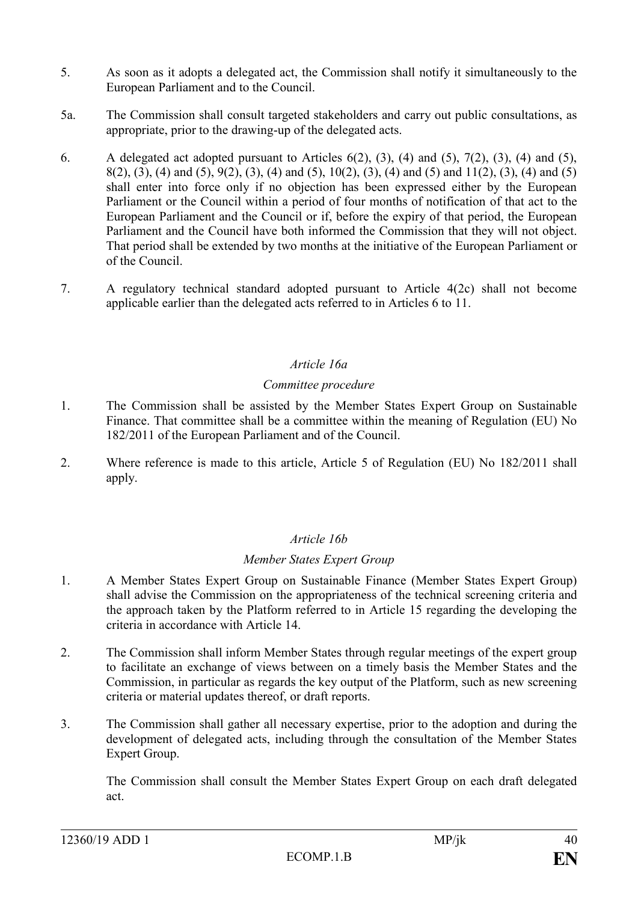- 5. As soon as it adopts a delegated act, the Commission shall notify it simultaneously to the European Parliament and to the Council.
- 5a. The Commission shall consult targeted stakeholders and carry out public consultations, as appropriate, prior to the drawing-up of the delegated acts.
- 6. A delegated act adopted pursuant to Articles  $6(2)$ ,  $(3)$ ,  $(4)$  and  $(5)$ ,  $7(2)$ ,  $(3)$ ,  $(4)$  and  $(5)$ , 8(2), (3), (4) and (5), 9(2), (3), (4) and (5), 10(2), (3), (4) and (5) and 11(2), (3), (4) and (5) shall enter into force only if no objection has been expressed either by the European Parliament or the Council within a period of four months of notification of that act to the European Parliament and the Council or if, before the expiry of that period, the European Parliament and the Council have both informed the Commission that they will not object. That period shall be extended by two months at the initiative of the European Parliament or of the Council.
- 7. A regulatory technical standard adopted pursuant to Article 4(2c) shall not become applicable earlier than the delegated acts referred to in Articles 6 to 11.

## *Article 16a*

#### *Committee procedure*

- 1. The Commission shall be assisted by the Member States Expert Group on Sustainable Finance. That committee shall be a committee within the meaning of Regulation (EU) No 182/2011 of the European Parliament and of the Council.
- 2. Where reference is made to this article, Article 5 of Regulation (EU) No 182/2011 shall apply.

## *Article 16b*

## *Member States Expert Group*

- 1. A Member States Expert Group on Sustainable Finance (Member States Expert Group) shall advise the Commission on the appropriateness of the technical screening criteria and the approach taken by the Platform referred to in Article 15 regarding the developing the criteria in accordance with Article 14.
- 2. The Commission shall inform Member States through regular meetings of the expert group to facilitate an exchange of views between on a timely basis the Member States and the Commission, in particular as regards the key output of the Platform, such as new screening criteria or material updates thereof, or draft reports.
- 3. The Commission shall gather all necessary expertise, prior to the adoption and during the development of delegated acts, including through the consultation of the Member States Expert Group.

The Commission shall consult the Member States Expert Group on each draft delegated act.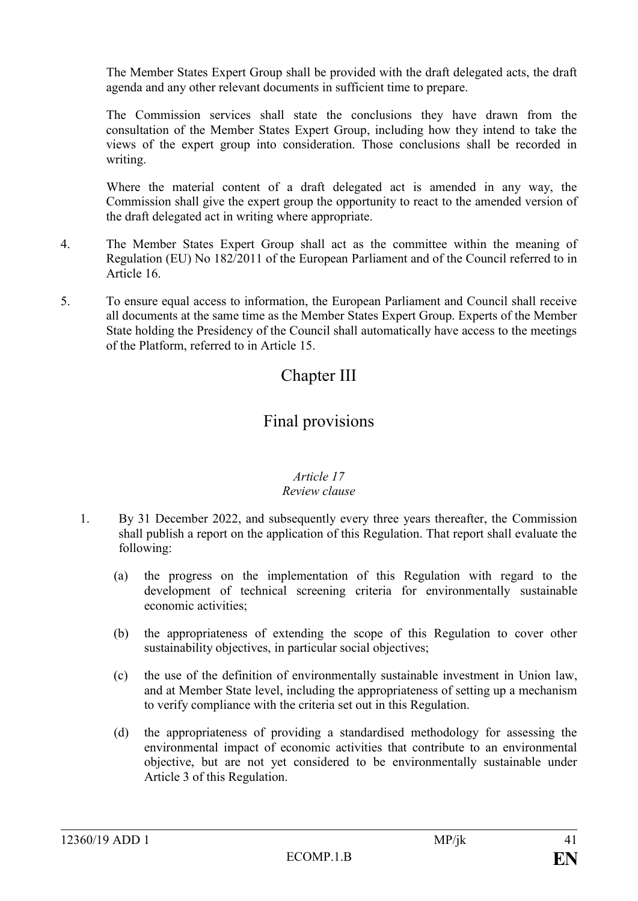The Member States Expert Group shall be provided with the draft delegated acts, the draft agenda and any other relevant documents in sufficient time to prepare.

The Commission services shall state the conclusions they have drawn from the consultation of the Member States Expert Group, including how they intend to take the views of the expert group into consideration. Those conclusions shall be recorded in writing.

Where the material content of a draft delegated act is amended in any way, the Commission shall give the expert group the opportunity to react to the amended version of the draft delegated act in writing where appropriate.

- 4. The Member States Expert Group shall act as the committee within the meaning of Regulation (EU) No 182/2011 of the European Parliament and of the Council referred to in Article 16.
- 5. To ensure equal access to information, the European Parliament and Council shall receive all documents at the same time as the Member States Expert Group. Experts of the Member State holding the Presidency of the Council shall automatically have access to the meetings of the Platform, referred to in Article 15.

# Chapter III

# Final provisions

# *Article 17*

# *Review clause*

- 1. By 31 December 2022, and subsequently every three years thereafter, the Commission shall publish a report on the application of this Regulation. That report shall evaluate the following:
	- (a) the progress on the implementation of this Regulation with regard to the development of technical screening criteria for environmentally sustainable economic activities;
	- (b) the appropriateness of extending the scope of this Regulation to cover other sustainability objectives, in particular social objectives;
	- (c) the use of the definition of environmentally sustainable investment in Union law, and at Member State level, including the appropriateness of setting up a mechanism to verify compliance with the criteria set out in this Regulation.
	- (d) the appropriateness of providing a standardised methodology for assessing the environmental impact of economic activities that contribute to an environmental objective, but are not yet considered to be environmentally sustainable under Article 3 of this Regulation.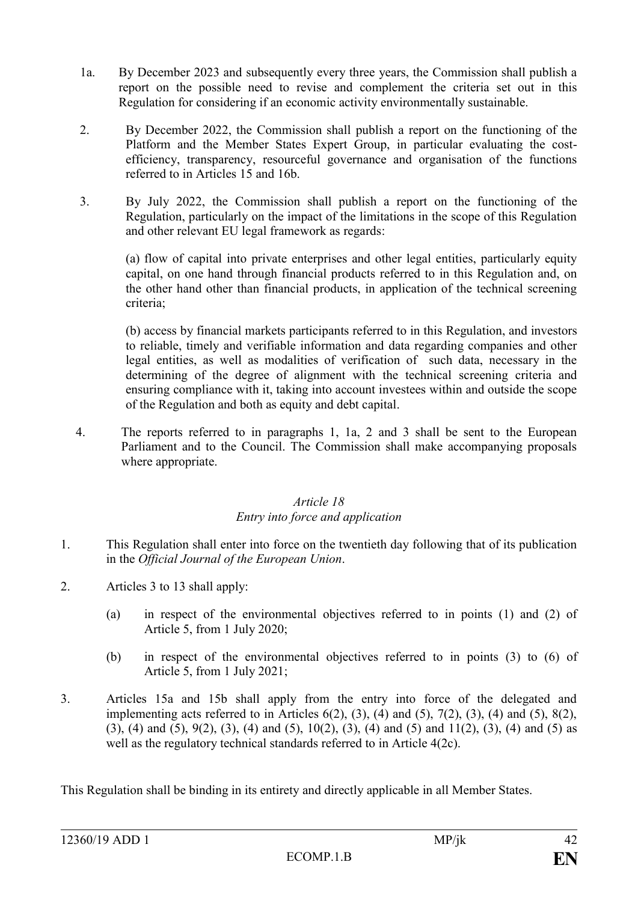- 1a. By December 2023 and subsequently every three years, the Commission shall publish a report on the possible need to revise and complement the criteria set out in this Regulation for considering if an economic activity environmentally sustainable.
- 2. By December 2022, the Commission shall publish a report on the functioning of the Platform and the Member States Expert Group, in particular evaluating the costefficiency, transparency, resourceful governance and organisation of the functions referred to in Articles 15 and 16b.
- 3. By July 2022, the Commission shall publish a report on the functioning of the Regulation, particularly on the impact of the limitations in the scope of this Regulation and other relevant EU legal framework as regards:

(a) flow of capital into private enterprises and other legal entities, particularly equity capital, on one hand through financial products referred to in this Regulation and, on the other hand other than financial products, in application of the technical screening criteria;

(b) access by financial markets participants referred to in this Regulation, and investors to reliable, timely and verifiable information and data regarding companies and other legal entities, as well as modalities of verification of such data, necessary in the determining of the degree of alignment with the technical screening criteria and ensuring compliance with it, taking into account investees within and outside the scope of the Regulation and both as equity and debt capital.

4. The reports referred to in paragraphs 1, 1a, 2 and 3 shall be sent to the European Parliament and to the Council. The Commission shall make accompanying proposals where appropriate.

#### *Article 18 Entry into force and application*

- 1. This Regulation shall enter into force on the twentieth day following that of its publication in the *Official Journal of the European Union*.
- 2. Articles 3 to 13 shall apply:
	- (a) in respect of the environmental objectives referred to in points (1) and (2) of Article 5, from 1 July 2020;
	- (b) in respect of the environmental objectives referred to in points (3) to (6) of Article 5, from 1 July 2021;
- 3. Articles 15a and 15b shall apply from the entry into force of the delegated and implementing acts referred to in Articles  $6(2)$ ,  $(3)$ ,  $(4)$  and  $(5)$ ,  $7(2)$ ,  $(3)$ ,  $(4)$  and  $(5)$ ,  $8(2)$ , (3), (4) and (5), 9(2), (3), (4) and (5), 10(2), (3), (4) and (5) and 11(2), (3), (4) and (5) as well as the regulatory technical standards referred to in Article 4(2c).

This Regulation shall be binding in its entirety and directly applicable in all Member States.